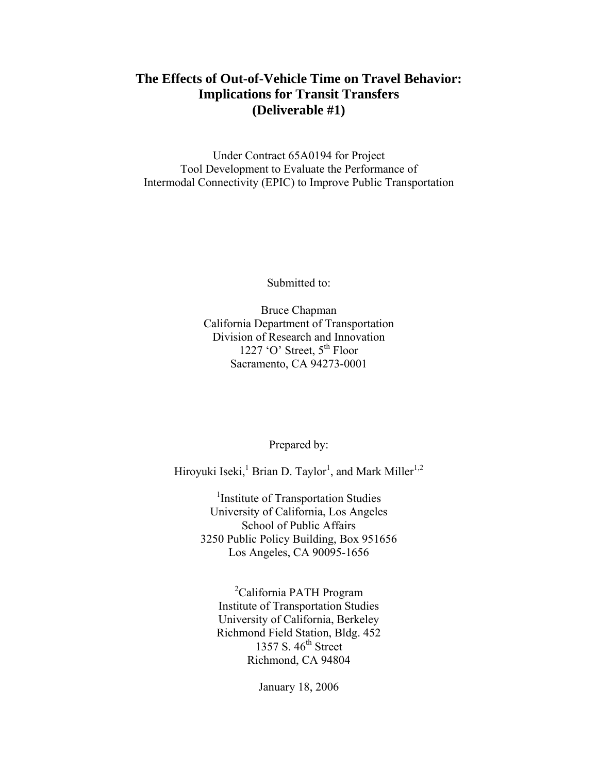# **The Effects of Out-of-Vehicle Time on Travel Behavior: Implications for Transit Transfers (Deliverable #1)**

Under Contract 65A0194 for Project Tool Development to Evaluate the Performance of Intermodal Connectivity (EPIC) to Improve Public Transportation

Submitted to:

Bruce Chapman California Department of Transportation Division of Research and Innovation 1227 'O' Street,  $5^{\text{th}}$  Floor Sacramento, CA 94273-0001

Prepared by:

Hiroyuki Iseki,<sup>1</sup> Brian D. Taylor<sup>1</sup>, and Mark Miller<sup>1,2</sup>

<sup>1</sup>Institute of Transportation Studies University of California, Los Angeles School of Public Affairs 3250 Public Policy Building, Box 951656 Los Angeles, CA 90095-1656

<sup>2</sup>California PATH Program Institute of Transportation Studies University of California, Berkeley Richmond Field Station, Bldg. 452 1357 S. 46<sup>th</sup> Street Richmond, CA 94804

January 18, 2006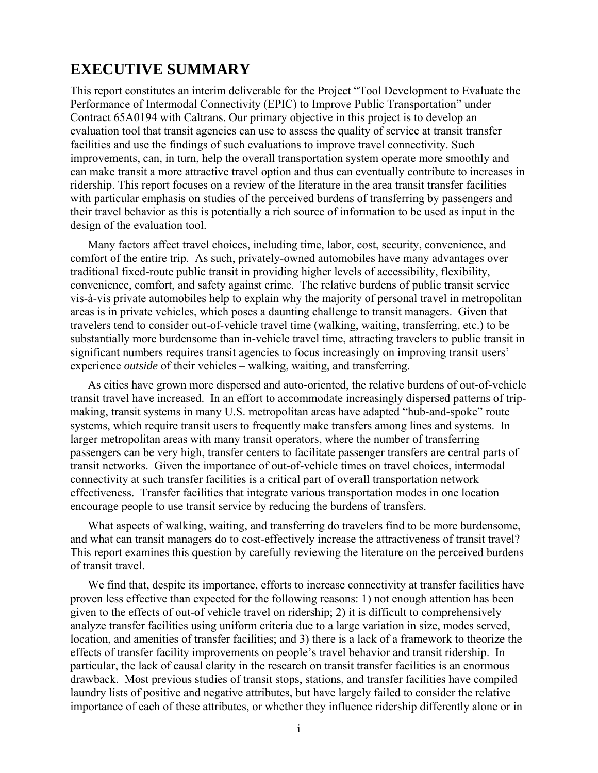# **EXECUTIVE SUMMARY**

This report constitutes an interim deliverable for the Project "Tool Development to Evaluate the Performance of Intermodal Connectivity (EPIC) to Improve Public Transportation" under Contract 65A0194 with Caltrans. Our primary objective in this project is to develop an evaluation tool that transit agencies can use to assess the quality of service at transit transfer facilities and use the findings of such evaluations to improve travel connectivity. Such improvements, can, in turn, help the overall transportation system operate more smoothly and can make transit a more attractive travel option and thus can eventually contribute to increases in ridership. This report focuses on a review of the literature in the area transit transfer facilities with particular emphasis on studies of the perceived burdens of transferring by passengers and their travel behavior as this is potentially a rich source of information to be used as input in the design of the evaluation tool.

 Many factors affect travel choices, including time, labor, cost, security, convenience, and comfort of the entire trip. As such, privately-owned automobiles have many advantages over traditional fixed-route public transit in providing higher levels of accessibility, flexibility, convenience, comfort, and safety against crime. The relative burdens of public transit service vis-à-vis private automobiles help to explain why the majority of personal travel in metropolitan areas is in private vehicles, which poses a daunting challenge to transit managers. Given that travelers tend to consider out-of-vehicle travel time (walking, waiting, transferring, etc.) to be substantially more burdensome than in-vehicle travel time, attracting travelers to public transit in significant numbers requires transit agencies to focus increasingly on improving transit users' experience *outside* of their vehicles – walking, waiting, and transferring.

 As cities have grown more dispersed and auto-oriented, the relative burdens of out-of-vehicle transit travel have increased. In an effort to accommodate increasingly dispersed patterns of tripmaking, transit systems in many U.S. metropolitan areas have adapted "hub-and-spoke" route systems, which require transit users to frequently make transfers among lines and systems. In larger metropolitan areas with many transit operators, where the number of transferring passengers can be very high, transfer centers to facilitate passenger transfers are central parts of transit networks. Given the importance of out-of-vehicle times on travel choices, intermodal connectivity at such transfer facilities is a critical part of overall transportation network effectiveness. Transfer facilities that integrate various transportation modes in one location encourage people to use transit service by reducing the burdens of transfers.

 What aspects of walking, waiting, and transferring do travelers find to be more burdensome, and what can transit managers do to cost-effectively increase the attractiveness of transit travel? This report examines this question by carefully reviewing the literature on the perceived burdens of transit travel.

 We find that, despite its importance, efforts to increase connectivity at transfer facilities have proven less effective than expected for the following reasons: 1) not enough attention has been given to the effects of out-of vehicle travel on ridership; 2) it is difficult to comprehensively analyze transfer facilities using uniform criteria due to a large variation in size, modes served, location, and amenities of transfer facilities; and 3) there is a lack of a framework to theorize the effects of transfer facility improvements on people's travel behavior and transit ridership. In particular, the lack of causal clarity in the research on transit transfer facilities is an enormous drawback. Most previous studies of transit stops, stations, and transfer facilities have compiled laundry lists of positive and negative attributes, but have largely failed to consider the relative importance of each of these attributes, or whether they influence ridership differently alone or in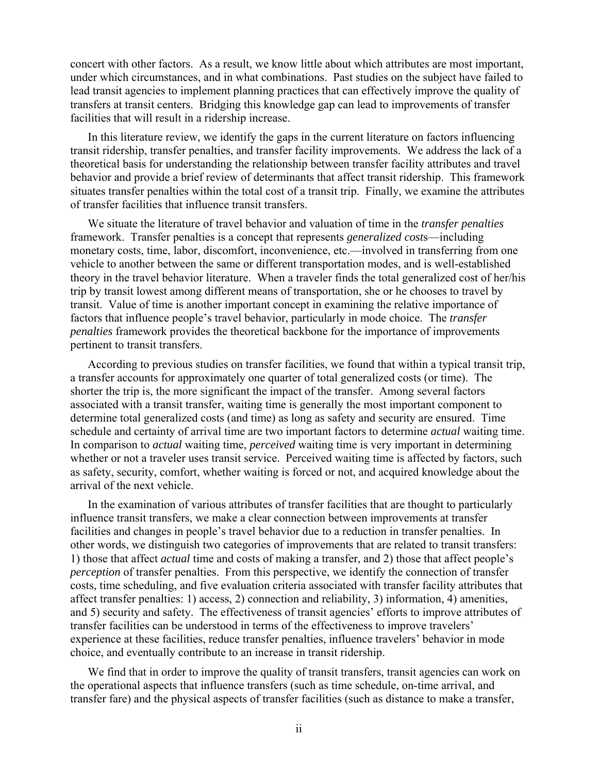concert with other factors. As a result, we know little about which attributes are most important, under which circumstances, and in what combinations. Past studies on the subject have failed to lead transit agencies to implement planning practices that can effectively improve the quality of transfers at transit centers. Bridging this knowledge gap can lead to improvements of transfer facilities that will result in a ridership increase.

 In this literature review, we identify the gaps in the current literature on factors influencing transit ridership, transfer penalties, and transfer facility improvements. We address the lack of a theoretical basis for understanding the relationship between transfer facility attributes and travel behavior and provide a brief review of determinants that affect transit ridership. This framework situates transfer penalties within the total cost of a transit trip. Finally, we examine the attributes of transfer facilities that influence transit transfers.

 We situate the literature of travel behavior and valuation of time in the *transfer penalties* framework. Transfer penalties is a concept that represents *generalized cost*s—including monetary costs, time, labor, discomfort, inconvenience, etc.—involved in transferring from one vehicle to another between the same or different transportation modes, and is well-established theory in the travel behavior literature. When a traveler finds the total generalized cost of her/his trip by transit lowest among different means of transportation, she or he chooses to travel by transit. Value of time is another important concept in examining the relative importance of factors that influence people's travel behavior, particularly in mode choice. The *transfer penalties* framework provides the theoretical backbone for the importance of improvements pertinent to transit transfers.

 According to previous studies on transfer facilities, we found that within a typical transit trip, a transfer accounts for approximately one quarter of total generalized costs (or time). The shorter the trip is, the more significant the impact of the transfer. Among several factors associated with a transit transfer, waiting time is generally the most important component to determine total generalized costs (and time) as long as safety and security are ensured. Time schedule and certainty of arrival time are two important factors to determine *actual* waiting time. In comparison to *actual* waiting time, *perceived* waiting time is very important in determining whether or not a traveler uses transit service. Perceived waiting time is affected by factors, such as safety, security, comfort, whether waiting is forced or not, and acquired knowledge about the arrival of the next vehicle.

 In the examination of various attributes of transfer facilities that are thought to particularly influence transit transfers, we make a clear connection between improvements at transfer facilities and changes in people's travel behavior due to a reduction in transfer penalties. In other words, we distinguish two categories of improvements that are related to transit transfers: 1) those that affect *actual* time and costs of making a transfer, and 2) those that affect people's *perception* of transfer penalties. From this perspective, we identify the connection of transfer costs, time scheduling, and five evaluation criteria associated with transfer facility attributes that affect transfer penalties: 1) access, 2) connection and reliability, 3) information, 4) amenities, and 5) security and safety. The effectiveness of transit agencies' efforts to improve attributes of transfer facilities can be understood in terms of the effectiveness to improve travelers' experience at these facilities, reduce transfer penalties, influence travelers' behavior in mode choice, and eventually contribute to an increase in transit ridership.

We find that in order to improve the quality of transit transfers, transit agencies can work on the operational aspects that influence transfers (such as time schedule, on-time arrival, and transfer fare) and the physical aspects of transfer facilities (such as distance to make a transfer,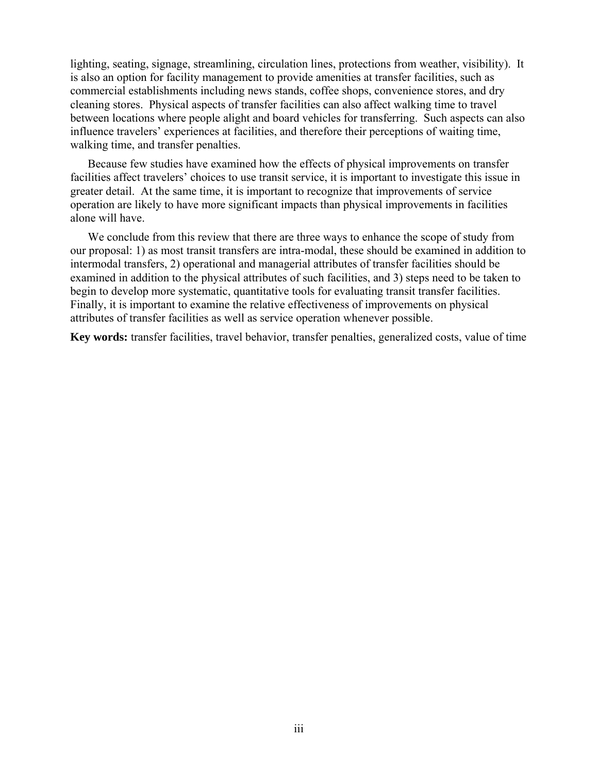lighting, seating, signage, streamlining, circulation lines, protections from weather, visibility). It is also an option for facility management to provide amenities at transfer facilities, such as commercial establishments including news stands, coffee shops, convenience stores, and dry cleaning stores. Physical aspects of transfer facilities can also affect walking time to travel between locations where people alight and board vehicles for transferring. Such aspects can also influence travelers' experiences at facilities, and therefore their perceptions of waiting time, walking time, and transfer penalties.

 Because few studies have examined how the effects of physical improvements on transfer facilities affect travelers' choices to use transit service, it is important to investigate this issue in greater detail. At the same time, it is important to recognize that improvements of service operation are likely to have more significant impacts than physical improvements in facilities alone will have.

We conclude from this review that there are three ways to enhance the scope of study from our proposal: 1) as most transit transfers are intra-modal, these should be examined in addition to intermodal transfers, 2) operational and managerial attributes of transfer facilities should be examined in addition to the physical attributes of such facilities, and 3) steps need to be taken to begin to develop more systematic, quantitative tools for evaluating transit transfer facilities. Finally, it is important to examine the relative effectiveness of improvements on physical attributes of transfer facilities as well as service operation whenever possible.

**Key words:** transfer facilities, travel behavior, transfer penalties, generalized costs, value of time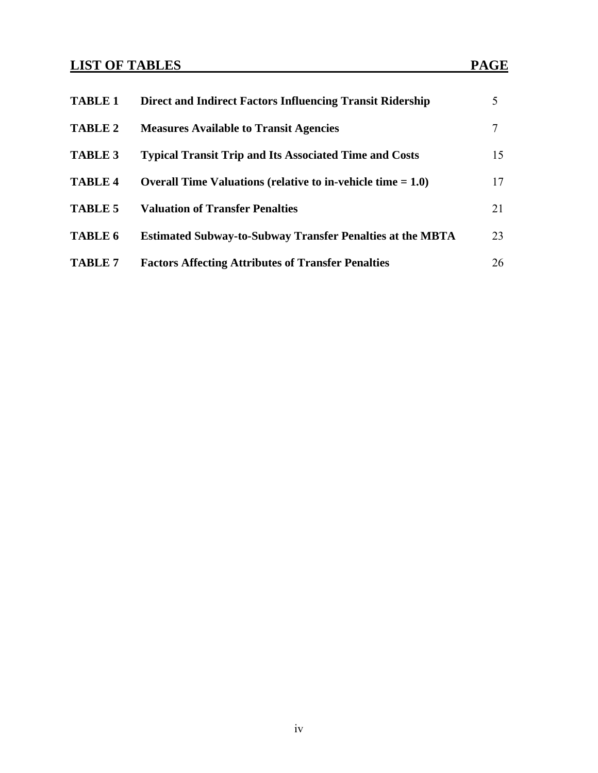# **LIST OF TABLES** PAGE

| <b>TABLE 1</b> | <b>Direct and Indirect Factors Influencing Transit Ridership</b>                | 5  |
|----------------|---------------------------------------------------------------------------------|----|
| <b>TABLE 2</b> | <b>Measures Available to Transit Agencies</b>                                   | 7  |
| <b>TABLE 3</b> | <b>Typical Transit Trip and Its Associated Time and Costs</b>                   | 15 |
| <b>TABLE 4</b> | <b>Overall Time Valuations (relative to in-vehicle time <math>= 1.0</math>)</b> | 17 |
| <b>TABLE 5</b> | <b>Valuation of Transfer Penalties</b>                                          | 21 |
| <b>TABLE 6</b> | <b>Estimated Subway-to-Subway Transfer Penalties at the MBTA</b>                | 23 |
| <b>TABLE 7</b> | <b>Factors Affecting Attributes of Transfer Penalties</b>                       | 26 |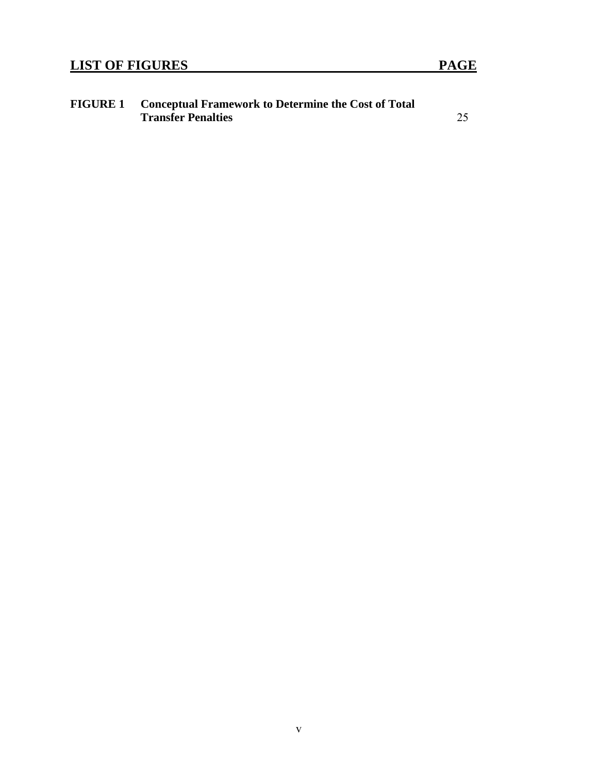| <b>FIGURE 1</b> | <b>Conceptual Framework to Determine the Cost of Total</b> |  |  |  |
|-----------------|------------------------------------------------------------|--|--|--|
|                 | <b>Transfer Penalties</b>                                  |  |  |  |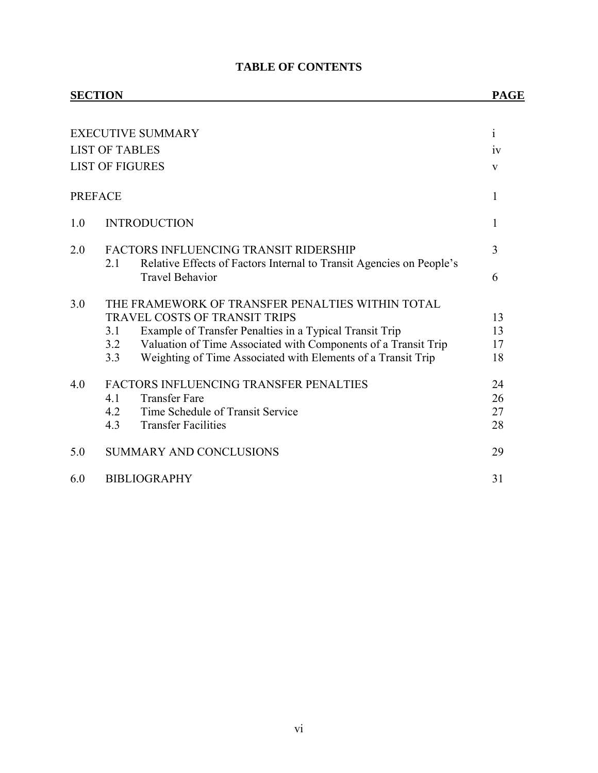#### **TABLE OF CONTENTS**

# **SECTION PAGE** EXECUTIVE SUMMARY i LIST OF TABLES iv LIST OF FIGURES V PREFACE 1 1.0 INTRODUCTION 1 2.0 FACTORS INFLUENCING TRANSIT RIDERSHIP 3 2.1 Relative Effects of Factors Internal to Transit Agencies on People's Travel Behavior 6 3.0 THE FRAMEWORK OF TRANSFER PENALTIES WITHIN TOTAL TRAVEL COSTS OF TRANSIT TRIPS 13 3.1 Example of Transfer Penalties in a Typical Transit Trip 13 3.2 Valuation of Time Associated with Components of a Transit Trip 17 3.3 Weighting of Time Associated with Elements of a Transit Trip 18 4.0 FACTORS INFLUENCING TRANSFER PENALTIES 24 4.1 Transfer Fare 26 4.2 Time Schedule of Transit Service 27 4.3 Transfer Facilities 28 5.0 SUMMARY AND CONCLUSIONS 29 6.0 BIBLIOGRAPHY 31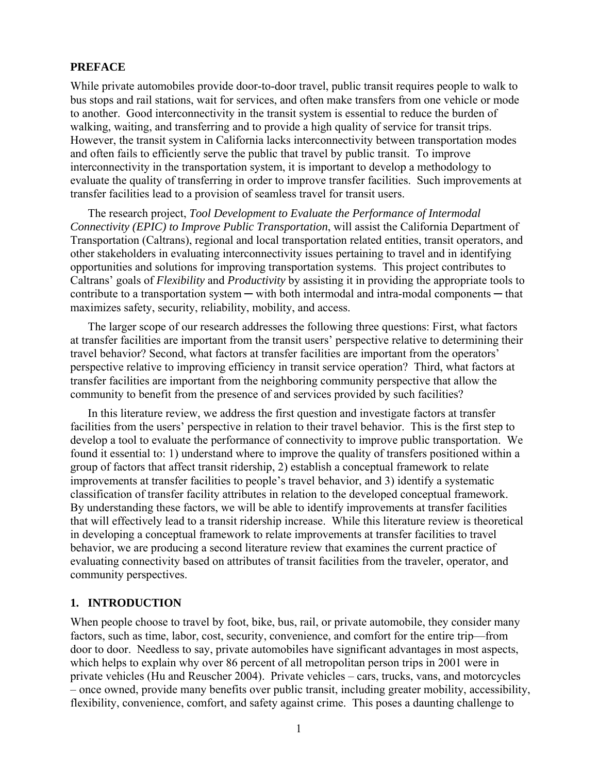# **PREFACE**

While private automobiles provide door-to-door travel, public transit requires people to walk to bus stops and rail stations, wait for services, and often make transfers from one vehicle or mode to another. Good interconnectivity in the transit system is essential to reduce the burden of walking, waiting, and transferring and to provide a high quality of service for transit trips. However, the transit system in California lacks interconnectivity between transportation modes and often fails to efficiently serve the public that travel by public transit. To improve interconnectivity in the transportation system, it is important to develop a methodology to evaluate the quality of transferring in order to improve transfer facilities. Such improvements at transfer facilities lead to a provision of seamless travel for transit users.

 The research project, *Tool Development to Evaluate the Performance of Intermodal Connectivity (EPIC) to Improve Public Transportation*, will assist the California Department of Transportation (Caltrans), regional and local transportation related entities, transit operators, and other stakeholders in evaluating interconnectivity issues pertaining to travel and in identifying opportunities and solutions for improving transportation systems. This project contributes to Caltrans' goals of *Flexibility* and *Productivity* by assisting it in providing the appropriate tools to contribute to a transportation system  $-$  with both intermodal and intra-modal components  $-$  that maximizes safety, security, reliability, mobility, and access.

 The larger scope of our research addresses the following three questions: First, what factors at transfer facilities are important from the transit users' perspective relative to determining their travel behavior? Second, what factors at transfer facilities are important from the operators' perspective relative to improving efficiency in transit service operation? Third, what factors at transfer facilities are important from the neighboring community perspective that allow the community to benefit from the presence of and services provided by such facilities?

 In this literature review, we address the first question and investigate factors at transfer facilities from the users' perspective in relation to their travel behavior. This is the first step to develop a tool to evaluate the performance of connectivity to improve public transportation. We found it essential to: 1) understand where to improve the quality of transfers positioned within a group of factors that affect transit ridership, 2) establish a conceptual framework to relate improvements at transfer facilities to people's travel behavior, and 3) identify a systematic classification of transfer facility attributes in relation to the developed conceptual framework. By understanding these factors, we will be able to identify improvements at transfer facilities that will effectively lead to a transit ridership increase. While this literature review is theoretical in developing a conceptual framework to relate improvements at transfer facilities to travel behavior, we are producing a second literature review that examines the current practice of evaluating connectivity based on attributes of transit facilities from the traveler, operator, and community perspectives.

## **1. INTRODUCTION**

When people choose to travel by foot, bike, bus, rail, or private automobile, they consider many factors, such as time, labor, cost, security, convenience, and comfort for the entire trip—from door to door. Needless to say, private automobiles have significant advantages in most aspects, which helps to explain why over 86 percent of all metropolitan person trips in 2001 were in private vehicles (Hu and Reuscher 2004). Private vehicles – cars, trucks, vans, and motorcycles – once owned, provide many benefits over public transit, including greater mobility, accessibility, flexibility, convenience, comfort, and safety against crime. This poses a daunting challenge to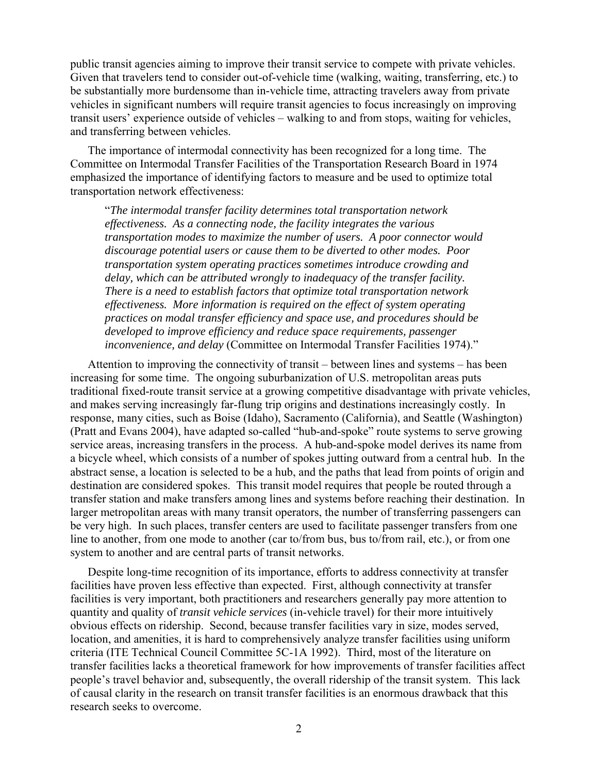public transit agencies aiming to improve their transit service to compete with private vehicles. Given that travelers tend to consider out-of-vehicle time (walking, waiting, transferring, etc.) to be substantially more burdensome than in-vehicle time, attracting travelers away from private vehicles in significant numbers will require transit agencies to focus increasingly on improving transit users' experience outside of vehicles – walking to and from stops, waiting for vehicles, and transferring between vehicles.

 The importance of intermodal connectivity has been recognized for a long time. The Committee on Intermodal Transfer Facilities of the Transportation Research Board in 1974 emphasized the importance of identifying factors to measure and be used to optimize total transportation network effectiveness:

"*The intermodal transfer facility determines total transportation network effectiveness. As a connecting node, the facility integrates the various transportation modes to maximize the number of users. A poor connector would discourage potential users or cause them to be diverted to other modes. Poor transportation system operating practices sometimes introduce crowding and delay, which can be attributed wrongly to inadequacy of the transfer facility. There is a need to establish factors that optimize total transportation network effectiveness. More information is required on the effect of system operating practices on modal transfer efficiency and space use, and procedures should be developed to improve efficiency and reduce space requirements, passenger inconvenience, and delay* (Committee on Intermodal Transfer Facilities 1974)."

 Attention to improving the connectivity of transit – between lines and systems – has been increasing for some time. The ongoing suburbanization of U.S. metropolitan areas puts traditional fixed-route transit service at a growing competitive disadvantage with private vehicles, and makes serving increasingly far-flung trip origins and destinations increasingly costly. In response, many cities, such as Boise (Idaho), Sacramento (California), and Seattle (Washington) (Pratt and Evans 2004), have adapted so-called "hub-and-spoke" route systems to serve growing service areas, increasing transfers in the process. A hub-and-spoke model derives its name from a bicycle wheel, which consists of a number of spokes jutting outward from a central hub. In the abstract sense, a location is selected to be a hub, and the paths that lead from points of origin and destination are considered spokes. This transit model requires that people be routed through a transfer station and make transfers among lines and systems before reaching their destination. In larger metropolitan areas with many transit operators, the number of transferring passengers can be very high. In such places, transfer centers are used to facilitate passenger transfers from one line to another, from one mode to another (car to/from bus, bus to/from rail, etc.), or from one system to another and are central parts of transit networks.

 Despite long-time recognition of its importance, efforts to address connectivity at transfer facilities have proven less effective than expected. First, although connectivity at transfer facilities is very important, both practitioners and researchers generally pay more attention to quantity and quality of *transit vehicle services* (in-vehicle travel) for their more intuitively obvious effects on ridership. Second, because transfer facilities vary in size, modes served, location, and amenities, it is hard to comprehensively analyze transfer facilities using uniform criteria (ITE Technical Council Committee 5C-1A 1992). Third, most of the literature on transfer facilities lacks a theoretical framework for how improvements of transfer facilities affect people's travel behavior and, subsequently, the overall ridership of the transit system. This lack of causal clarity in the research on transit transfer facilities is an enormous drawback that this research seeks to overcome.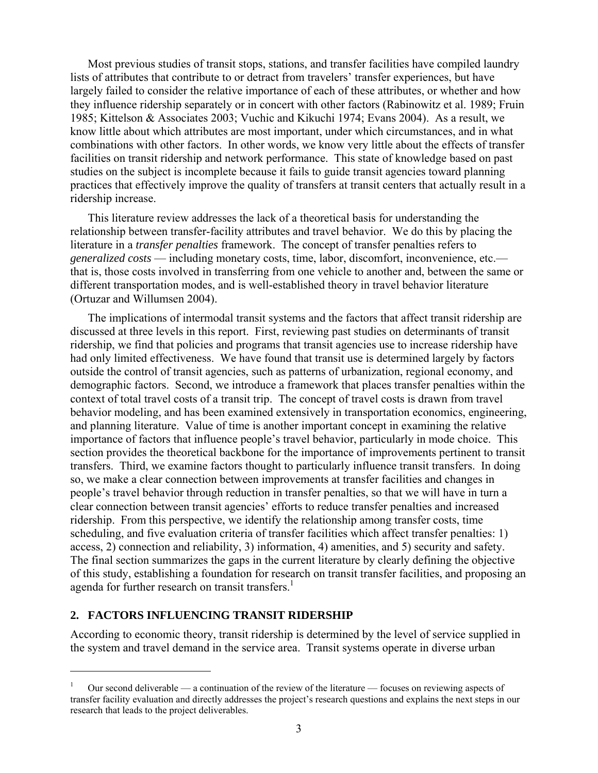Most previous studies of transit stops, stations, and transfer facilities have compiled laundry lists of attributes that contribute to or detract from travelers' transfer experiences, but have largely failed to consider the relative importance of each of these attributes, or whether and how they influence ridership separately or in concert with other factors (Rabinowitz et al. 1989; Fruin 1985; Kittelson & Associates 2003; Vuchic and Kikuchi 1974; Evans 2004). As a result, we know little about which attributes are most important, under which circumstances, and in what combinations with other factors. In other words, we know very little about the effects of transfer facilities on transit ridership and network performance. This state of knowledge based on past studies on the subject is incomplete because it fails to guide transit agencies toward planning practices that effectively improve the quality of transfers at transit centers that actually result in a ridership increase.

 This literature review addresses the lack of a theoretical basis for understanding the relationship between transfer-facility attributes and travel behavior. We do this by placing the literature in a *transfer penalties* framework. The concept of transfer penalties refers to *generalized costs* — including monetary costs, time, labor, discomfort, inconvenience, etc. that is, those costs involved in transferring from one vehicle to another and, between the same or different transportation modes, and is well-established theory in travel behavior literature (Ortuzar and Willumsen 2004).

 The implications of intermodal transit systems and the factors that affect transit ridership are discussed at three levels in this report. First, reviewing past studies on determinants of transit ridership, we find that policies and programs that transit agencies use to increase ridership have had only limited effectiveness. We have found that transit use is determined largely by factors outside the control of transit agencies, such as patterns of urbanization, regional economy, and demographic factors. Second, we introduce a framework that places transfer penalties within the context of total travel costs of a transit trip. The concept of travel costs is drawn from travel behavior modeling, and has been examined extensively in transportation economics, engineering, and planning literature. Value of time is another important concept in examining the relative importance of factors that influence people's travel behavior, particularly in mode choice. This section provides the theoretical backbone for the importance of improvements pertinent to transit transfers. Third, we examine factors thought to particularly influence transit transfers. In doing so, we make a clear connection between improvements at transfer facilities and changes in people's travel behavior through reduction in transfer penalties, so that we will have in turn a clear connection between transit agencies' efforts to reduce transfer penalties and increased ridership. From this perspective, we identify the relationship among transfer costs, time scheduling, and five evaluation criteria of transfer facilities which affect transfer penalties: 1) access, 2) connection and reliability, 3) information, 4) amenities, and 5) security and safety. The final section summarizes the gaps in the current literature by clearly defining the objective of this study, establishing a foundation for research on transit transfer facilities, and proposing an agenda for further research on transit transfers.<sup>1</sup>

#### **2. FACTORS INFLUENCING TRANSIT RIDERSHIP**

 $\overline{a}$ 

According to economic theory, transit ridership is determined by the level of service supplied in the system and travel demand in the service area. Transit systems operate in diverse urban

<sup>1</sup> Our second deliverable — a continuation of the review of the literature — focuses on reviewing aspects of transfer facility evaluation and directly addresses the project's research questions and explains the next steps in our research that leads to the project deliverables.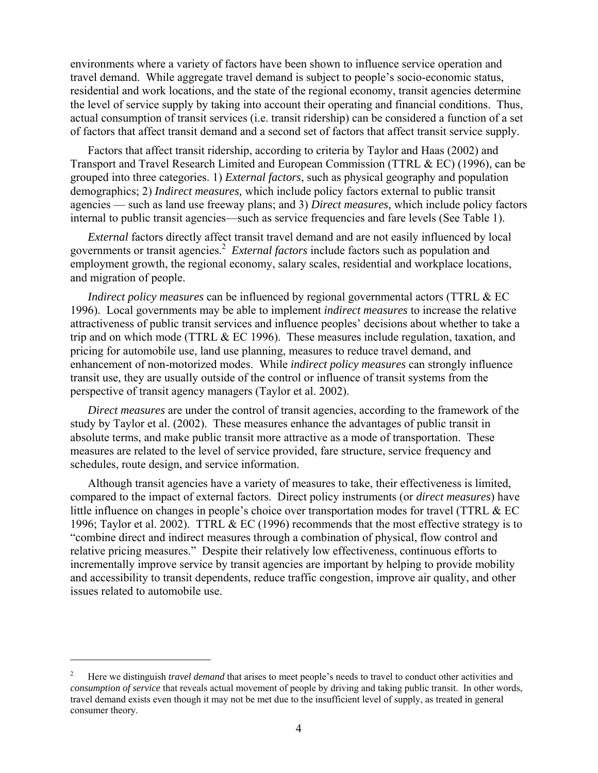environments where a variety of factors have been shown to influence service operation and travel demand. While aggregate travel demand is subject to people's socio-economic status, residential and work locations, and the state of the regional economy, transit agencies determine the level of service supply by taking into account their operating and financial conditions. Thus, actual consumption of transit services (i.e. transit ridership) can be considered a function of a set of factors that affect transit demand and a second set of factors that affect transit service supply.

 Factors that affect transit ridership, according to criteria by Taylor and Haas (2002) and Transport and Travel Research Limited and European Commission (TTRL & EC) (1996), can be grouped into three categories. 1) *External factors*, such as physical geography and population demographics; 2) *Indirect measures,* which include policy factors external to public transit agencies — such as land use freeway plans; and 3) *Direct measures,* which include policy factors internal to public transit agencies—such as service frequencies and fare levels (See Table 1).

*External* factors directly affect transit travel demand and are not easily influenced by local governments or transit agencies.<sup>2</sup> External factors include factors such as population and employment growth, the regional economy, salary scales, residential and workplace locations, and migration of people.

*Indirect policy measures* can be influenced by regional governmental actors (TTRL & EC 1996). Local governments may be able to implement *indirect measures* to increase the relative attractiveness of public transit services and influence peoples' decisions about whether to take a trip and on which mode (TTRL & EC 1996). These measures include regulation, taxation, and pricing for automobile use, land use planning, measures to reduce travel demand, and enhancement of non-motorized modes. While *indirect policy measures* can strongly influence transit use, they are usually outside of the control or influence of transit systems from the perspective of transit agency managers (Taylor et al. 2002).

 *Direct measures* are under the control of transit agencies, according to the framework of the study by Taylor et al. (2002). These measures enhance the advantages of public transit in absolute terms, and make public transit more attractive as a mode of transportation. These measures are related to the level of service provided, fare structure, service frequency and schedules, route design, and service information.

 Although transit agencies have a variety of measures to take, their effectiveness is limited, compared to the impact of external factors. Direct policy instruments (or *direct measures*) have little influence on changes in people's choice over transportation modes for travel (TTRL & EC 1996; Taylor et al. 2002). TTRL  $& EC(1996)$  recommends that the most effective strategy is to "combine direct and indirect measures through a combination of physical, flow control and relative pricing measures." Despite their relatively low effectiveness, continuous efforts to incrementally improve service by transit agencies are important by helping to provide mobility and accessibility to transit dependents, reduce traffic congestion, improve air quality, and other issues related to automobile use.

 $\overline{a}$ 

<sup>2</sup> Here we distinguish *travel demand* that arises to meet people's needs to travel to conduct other activities and *consumption of service* that reveals actual movement of people by driving and taking public transit. In other words, travel demand exists even though it may not be met due to the insufficient level of supply, as treated in general consumer theory.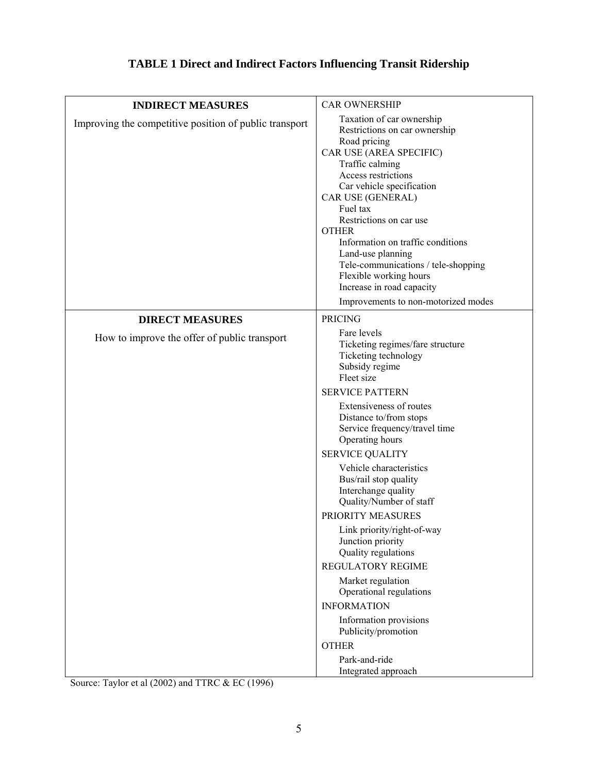# **TABLE 1 Direct and Indirect Factors Influencing Transit Ridership**

| <b>INDIRECT MEASURES</b>                               | <b>CAR OWNERSHIP</b>                                                                                                                                                                                                                                                                                                                                                                                                                                                                                                                                                                                                                         |
|--------------------------------------------------------|----------------------------------------------------------------------------------------------------------------------------------------------------------------------------------------------------------------------------------------------------------------------------------------------------------------------------------------------------------------------------------------------------------------------------------------------------------------------------------------------------------------------------------------------------------------------------------------------------------------------------------------------|
| Improving the competitive position of public transport | Taxation of car ownership<br>Restrictions on car ownership<br>Road pricing<br>CAR USE (AREA SPECIFIC)<br>Traffic calming<br>Access restrictions<br>Car vehicle specification<br>CAR USE (GENERAL)<br>Fuel tax<br>Restrictions on car use<br><b>OTHER</b><br>Information on traffic conditions<br>Land-use planning<br>Tele-communications / tele-shopping<br>Flexible working hours<br>Increase in road capacity<br>Improvements to non-motorized modes                                                                                                                                                                                      |
| <b>DIRECT MEASURES</b>                                 | <b>PRICING</b>                                                                                                                                                                                                                                                                                                                                                                                                                                                                                                                                                                                                                               |
| How to improve the offer of public transport           | Fare levels<br>Ticketing regimes/fare structure<br>Ticketing technology<br>Subsidy regime<br>Fleet size<br><b>SERVICE PATTERN</b><br>Extensiveness of routes<br>Distance to/from stops<br>Service frequency/travel time<br>Operating hours<br><b>SERVICE QUALITY</b><br>Vehicle characteristics<br>Bus/rail stop quality<br>Interchange quality<br>Quality/Number of staff<br>PRIORITY MEASURES<br>Link priority/right-of-way<br>Junction priority<br>Quality regulations<br><b>REGULATORY REGIME</b><br>Market regulation<br>Operational regulations<br><b>INFORMATION</b><br>Information provisions<br>Publicity/promotion<br><b>OTHER</b> |
|                                                        | Park-and-ride<br>Integrated approach                                                                                                                                                                                                                                                                                                                                                                                                                                                                                                                                                                                                         |

Source: Taylor et al (2002) and TTRC & EC (1996)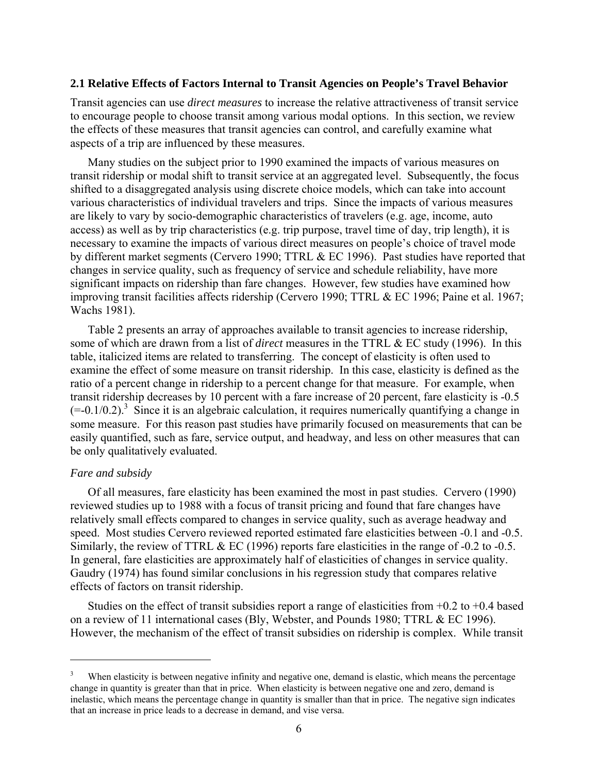#### **2.1 Relative Effects of Factors Internal to Transit Agencies on People's Travel Behavior**

Transit agencies can use *direct measures* to increase the relative attractiveness of transit service to encourage people to choose transit among various modal options. In this section, we review the effects of these measures that transit agencies can control, and carefully examine what aspects of a trip are influenced by these measures.

 Many studies on the subject prior to 1990 examined the impacts of various measures on transit ridership or modal shift to transit service at an aggregated level. Subsequently, the focus shifted to a disaggregated analysis using discrete choice models, which can take into account various characteristics of individual travelers and trips. Since the impacts of various measures are likely to vary by socio-demographic characteristics of travelers (e.g. age, income, auto access) as well as by trip characteristics (e.g. trip purpose, travel time of day, trip length), it is necessary to examine the impacts of various direct measures on people's choice of travel mode by different market segments (Cervero 1990; TTRL & EC 1996). Past studies have reported that changes in service quality, such as frequency of service and schedule reliability, have more significant impacts on ridership than fare changes. However, few studies have examined how improving transit facilities affects ridership (Cervero 1990; TTRL & EC 1996; Paine et al. 1967; Wachs 1981).

 Table 2 presents an array of approaches available to transit agencies to increase ridership, some of which are drawn from a list of *direct* measures in the TTRL & EC study (1996). In this table, italicized items are related to transferring. The concept of elasticity is often used to examine the effect of some measure on transit ridership. In this case, elasticity is defined as the ratio of a percent change in ridership to a percent change for that measure. For example, when transit ridership decreases by 10 percent with a fare increase of 20 percent, fare elasticity is -0.5  $(=0.1/0.2)$ .<sup>3</sup> Since it is an algebraic calculation, it requires numerically quantifying a change in some measure. For this reason past studies have primarily focused on measurements that can be easily quantified, such as fare, service output, and headway, and less on other measures that can be only qualitatively evaluated.

## *Fare and subsidy*

 $\overline{a}$ 

Of all measures, fare elasticity has been examined the most in past studies. Cervero (1990) reviewed studies up to 1988 with a focus of transit pricing and found that fare changes have relatively small effects compared to changes in service quality, such as average headway and speed. Most studies Cervero reviewed reported estimated fare elasticities between -0.1 and -0.5. Similarly, the review of TTRL & EC (1996) reports fare elasticities in the range of -0.2 to -0.5. In general, fare elasticities are approximately half of elasticities of changes in service quality. Gaudry (1974) has found similar conclusions in his regression study that compares relative effects of factors on transit ridership.

Studies on the effect of transit subsidies report a range of elasticities from  $+0.2$  to  $+0.4$  based on a review of 11 international cases (Bly, Webster, and Pounds 1980; TTRL & EC 1996). However, the mechanism of the effect of transit subsidies on ridership is complex. While transit

<sup>3</sup> When elasticity is between negative infinity and negative one, demand is elastic, which means the percentage change in quantity is greater than that in price. When elasticity is between negative one and zero, demand is inelastic, which means the percentage change in quantity is smaller than that in price. The negative sign indicates that an increase in price leads to a decrease in demand, and vise versa.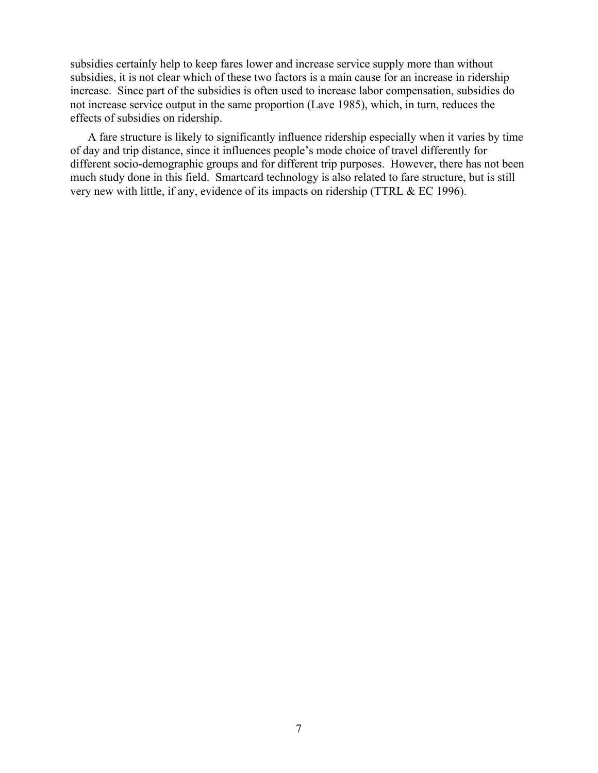subsidies certainly help to keep fares lower and increase service supply more than without subsidies, it is not clear which of these two factors is a main cause for an increase in ridership increase. Since part of the subsidies is often used to increase labor compensation, subsidies do not increase service output in the same proportion (Lave 1985), which, in turn, reduces the effects of subsidies on ridership.

A fare structure is likely to significantly influence ridership especially when it varies by time of day and trip distance, since it influences people's mode choice of travel differently for different socio-demographic groups and for different trip purposes. However, there has not been much study done in this field. Smartcard technology is also related to fare structure, but is still very new with little, if any, evidence of its impacts on ridership (TTRL & EC 1996).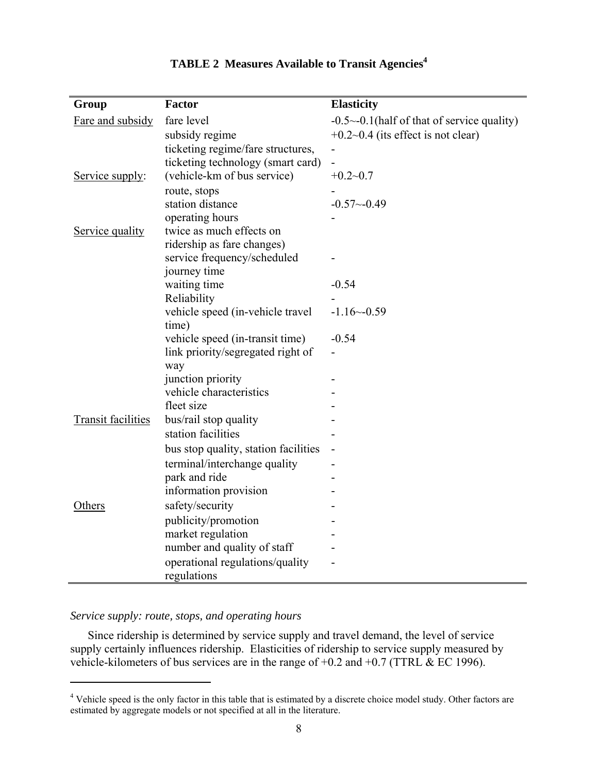| Group                     | Factor                                                               | <b>Elasticity</b>                                   |
|---------------------------|----------------------------------------------------------------------|-----------------------------------------------------|
| Fare and subsidy          | fare level                                                           | $-0.5$ $\sim$ -0.1(half of that of service quality) |
|                           | subsidy regime                                                       | $+0.2-0.4$ (its effect is not clear)                |
|                           | ticketing regime/fare structures,                                    |                                                     |
|                           | ticketing technology (smart card)                                    | $\overline{\phantom{0}}$                            |
| Service supply:           | (vehicle-km of bus service)                                          | $+0.2 - 0.7$                                        |
|                           | route, stops                                                         |                                                     |
|                           | station distance                                                     | $-0.57 - 0.49$                                      |
|                           | operating hours                                                      |                                                     |
| Service quality           | twice as much effects on                                             |                                                     |
|                           | ridership as fare changes)                                           |                                                     |
|                           | service frequency/scheduled                                          |                                                     |
|                           | journey time                                                         |                                                     |
|                           | waiting time                                                         | $-0.54$                                             |
|                           | Reliability                                                          |                                                     |
|                           | vehicle speed (in-vehicle travel                                     | $-1.16 - 0.59$                                      |
|                           | time)                                                                | $-0.54$                                             |
|                           | vehicle speed (in-transit time)<br>link priority/segregated right of |                                                     |
|                           | way                                                                  |                                                     |
|                           | junction priority                                                    |                                                     |
|                           | vehicle characteristics                                              |                                                     |
|                           | fleet size                                                           |                                                     |
| <b>Transit facilities</b> | bus/rail stop quality                                                |                                                     |
|                           | station facilities                                                   |                                                     |
|                           | bus stop quality, station facilities                                 |                                                     |
|                           | terminal/interchange quality                                         |                                                     |
|                           | park and ride                                                        |                                                     |
|                           | information provision                                                |                                                     |
| Others                    | safety/security                                                      |                                                     |
|                           | publicity/promotion                                                  |                                                     |
|                           | market regulation                                                    |                                                     |
|                           | number and quality of staff                                          |                                                     |
|                           | operational regulations/quality                                      |                                                     |
|                           | regulations                                                          |                                                     |

# **TABLE 2 Measures Available to Transit Agencies4**

#### *Service supply: route, stops, and operating hours*

 $\overline{a}$ 

Since ridership is determined by service supply and travel demand, the level of service supply certainly influences ridership. Elasticities of ridership to service supply measured by vehicle-kilometers of bus services are in the range of  $+0.2$  and  $+0.7$  (TTRL & EC 1996).

<sup>&</sup>lt;sup>4</sup> Vehicle speed is the only factor in this table that is estimated by a discrete choice model study. Other factors are estimated by aggregate models or not specified at all in the literature.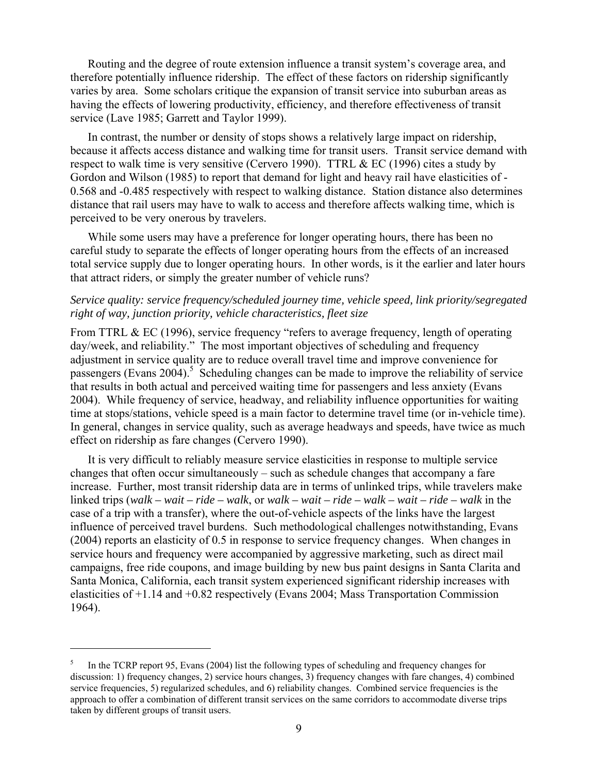Routing and the degree of route extension influence a transit system's coverage area, and therefore potentially influence ridership. The effect of these factors on ridership significantly varies by area. Some scholars critique the expansion of transit service into suburban areas as having the effects of lowering productivity, efficiency, and therefore effectiveness of transit service (Lave 1985; Garrett and Taylor 1999).

 In contrast, the number or density of stops shows a relatively large impact on ridership, because it affects access distance and walking time for transit users. Transit service demand with respect to walk time is very sensitive (Cervero 1990). TTRL & EC (1996) cites a study by Gordon and Wilson (1985) to report that demand for light and heavy rail have elasticities of - 0.568 and -0.485 respectively with respect to walking distance. Station distance also determines distance that rail users may have to walk to access and therefore affects walking time, which is perceived to be very onerous by travelers.

 While some users may have a preference for longer operating hours, there has been no careful study to separate the effects of longer operating hours from the effects of an increased total service supply due to longer operating hours. In other words, is it the earlier and later hours that attract riders, or simply the greater number of vehicle runs?

## *Service quality: service frequency/scheduled journey time, vehicle speed, link priority/segregated right of way, junction priority, vehicle characteristics, fleet size*

From TTRL & EC (1996), service frequency "refers to average frequency, length of operating day/week, and reliability." The most important objectives of scheduling and frequency adjustment in service quality are to reduce overall travel time and improve convenience for passengers (Evans  $2004$ ).<sup>5</sup> Scheduling changes can be made to improve the reliability of service that results in both actual and perceived waiting time for passengers and less anxiety (Evans 2004). While frequency of service, headway, and reliability influence opportunities for waiting time at stops/stations, vehicle speed is a main factor to determine travel time (or in-vehicle time). In general, changes in service quality, such as average headways and speeds, have twice as much effect on ridership as fare changes (Cervero 1990).

 It is very difficult to reliably measure service elasticities in response to multiple service changes that often occur simultaneously – such as schedule changes that accompany a fare increase. Further, most transit ridership data are in terms of unlinked trips, while travelers make linked trips (*walk – wait – ride – walk*, or *walk – wait – ride – walk – wait – ride – walk* in the case of a trip with a transfer), where the out-of-vehicle aspects of the links have the largest influence of perceived travel burdens. Such methodological challenges notwithstanding, Evans (2004) reports an elasticity of 0.5 in response to service frequency changes. When changes in service hours and frequency were accompanied by aggressive marketing, such as direct mail campaigns, free ride coupons, and image building by new bus paint designs in Santa Clarita and Santa Monica, California, each transit system experienced significant ridership increases with elasticities of +1.14 and +0.82 respectively (Evans 2004; Mass Transportation Commission 1964).

 $\overline{a}$ 

<sup>5</sup> In the TCRP report 95, Evans (2004) list the following types of scheduling and frequency changes for discussion: 1) frequency changes, 2) service hours changes, 3) frequency changes with fare changes, 4) combined service frequencies, 5) regularized schedules, and 6) reliability changes. Combined service frequencies is the approach to offer a combination of different transit services on the same corridors to accommodate diverse trips taken by different groups of transit users.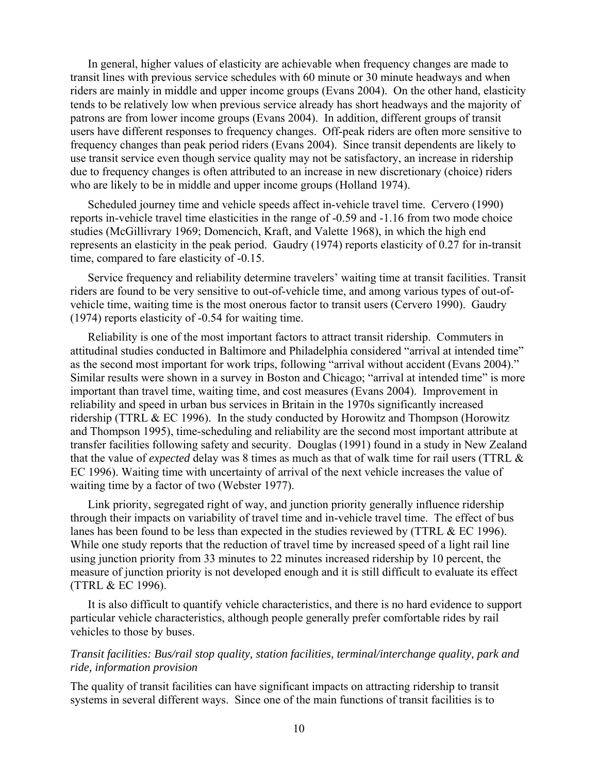In general, higher values of elasticity are achievable when frequency changes are made to transit lines with previous service schedules with 60 minute or 30 minute headways and when riders are mainly in middle and upper income groups (Evans 2004). On the other hand, elasticity tends to be relatively low when previous service already has short headways and the majority of patrons are from lower income groups (Evans 2004). In addition, different groups of transit users have different responses to frequency changes. Off-peak riders are often more sensitive to frequency changes than peak period riders (Evans 2004). Since transit dependents are likely to use transit service even though service quality may not be satisfactory, an increase in ridership due to frequency changes is often attributed to an increase in new discretionary (choice) riders who are likely to be in middle and upper income groups (Holland 1974).

 Scheduled journey time and vehicle speeds affect in-vehicle travel time. Cervero (1990) reports in-vehicle travel time elasticities in the range of -0.59 and -1.16 from two mode choice studies (McGillivrary 1969; Domencich, Kraft, and Valette 1968), in which the high end represents an elasticity in the peak period. Gaudry (1974) reports elasticity of 0.27 for in-transit time, compared to fare elasticity of -0.15.

 Service frequency and reliability determine travelers' waiting time at transit facilities. Transit riders are found to be very sensitive to out-of-vehicle time, and among various types of out-ofvehicle time, waiting time is the most onerous factor to transit users (Cervero 1990). Gaudry (1974) reports elasticity of -0.54 for waiting time.

 Reliability is one of the most important factors to attract transit ridership. Commuters in attitudinal studies conducted in Baltimore and Philadelphia considered "arrival at intended time" as the second most important for work trips, following "arrival without accident (Evans 2004)." Similar results were shown in a survey in Boston and Chicago; "arrival at intended time" is more important than travel time, waiting time, and cost measures (Evans 2004). Improvement in reliability and speed in urban bus services in Britain in the 1970s significantly increased ridership (TTRL & EC 1996). In the study conducted by Horowitz and Thompson (Horowitz and Thompson 1995), time-scheduling and reliability are the second most important attribute at transfer facilities following safety and security. Douglas (1991) found in a study in New Zealand that the value of *expected* delay was 8 times as much as that of walk time for rail users (TTRL & EC 1996). Waiting time with uncertainty of arrival of the next vehicle increases the value of waiting time by a factor of two (Webster 1977).

 Link priority, segregated right of way, and junction priority generally influence ridership through their impacts on variability of travel time and in-vehicle travel time. The effect of bus lanes has been found to be less than expected in the studies reviewed by (TTRL & EC 1996). While one study reports that the reduction of travel time by increased speed of a light rail line using junction priority from 33 minutes to 22 minutes increased ridership by 10 percent, the measure of junction priority is not developed enough and it is still difficult to evaluate its effect (TTRL & EC 1996).

 It is also difficult to quantify vehicle characteristics, and there is no hard evidence to support particular vehicle characteristics, although people generally prefer comfortable rides by rail vehicles to those by buses.

## *Transit facilities: Bus/rail stop quality, station facilities, terminal/interchange quality, park and ride, information provision*

The quality of transit facilities can have significant impacts on attracting ridership to transit systems in several different ways. Since one of the main functions of transit facilities is to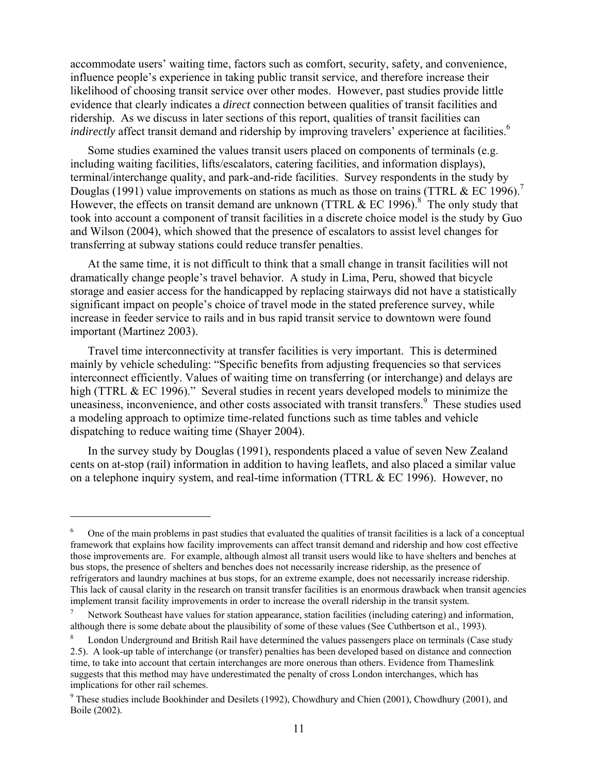accommodate users' waiting time, factors such as comfort, security, safety, and convenience, influence people's experience in taking public transit service, and therefore increase their likelihood of choosing transit service over other modes. However, past studies provide little evidence that clearly indicates a *direct* connection between qualities of transit facilities and ridership. As we discuss in later sections of this report, qualities of transit facilities can *indirectly* affect transit demand and ridership by improving travelers' experience at facilities.<sup>6</sup>

 Some studies examined the values transit users placed on components of terminals (e.g. including waiting facilities, lifts/escalators, catering facilities, and information displays), terminal/interchange quality, and park-and-ride facilities. Survey respondents in the study by Douglas (1991) value improvements on stations as much as those on trains (TTRL  $& \text{EC } 1996$ ).<sup>7</sup> However, the effects on transit demand are unknown (TTRL  $& EC$  1996).<sup>8</sup> The only study that took into account a component of transit facilities in a discrete choice model is the study by Guo and Wilson (2004), which showed that the presence of escalators to assist level changes for transferring at subway stations could reduce transfer penalties.

 At the same time, it is not difficult to think that a small change in transit facilities will not dramatically change people's travel behavior. A study in Lima, Peru, showed that bicycle storage and easier access for the handicapped by replacing stairways did not have a statistically significant impact on people's choice of travel mode in the stated preference survey, while increase in feeder service to rails and in bus rapid transit service to downtown were found important (Martinez 2003).

 Travel time interconnectivity at transfer facilities is very important. This is determined mainly by vehicle scheduling: "Specific benefits from adjusting frequencies so that services interconnect efficiently. Values of waiting time on transferring (or interchange) and delays are high (TTRL & EC 1996)." Several studies in recent years developed models to minimize the uneasiness, inconvenience, and other costs associated with transit transfers.<sup>9</sup> These studies used a modeling approach to optimize time-related functions such as time tables and vehicle dispatching to reduce waiting time (Shayer 2004).

 In the survey study by Douglas (1991), respondents placed a value of seven New Zealand cents on at-stop (rail) information in addition to having leaflets, and also placed a similar value on a telephone inquiry system, and real-time information (TTRL & EC 1996). However, no

 $\overline{a}$ 

<sup>6</sup> One of the main problems in past studies that evaluated the qualities of transit facilities is a lack of a conceptual framework that explains how facility improvements can affect transit demand and ridership and how cost effective those improvements are. For example, although almost all transit users would like to have shelters and benches at bus stops, the presence of shelters and benches does not necessarily increase ridership, as the presence of refrigerators and laundry machines at bus stops, for an extreme example, does not necessarily increase ridership. This lack of causal clarity in the research on transit transfer facilities is an enormous drawback when transit agencies implement transit facility improvements in order to increase the overall ridership in the transit system.

<sup>7</sup> Network Southeast have values for station appearance, station facilities (including catering) and information, although there is some debate about the plausibility of some of these values (See Cuthbertson et al., 1993).

London Underground and British Rail have determined the values passengers place on terminals (Case study 2.5). A look-up table of interchange (or transfer) penalties has been developed based on distance and connection time, to take into account that certain interchanges are more onerous than others. Evidence from Thameslink suggests that this method may have underestimated the penalty of cross London interchanges, which has implications for other rail schemes.

 $9$  These studies include Bookhinder and Desilets (1992), Chowdhury and Chien (2001), Chowdhury (2001), and Boile (2002).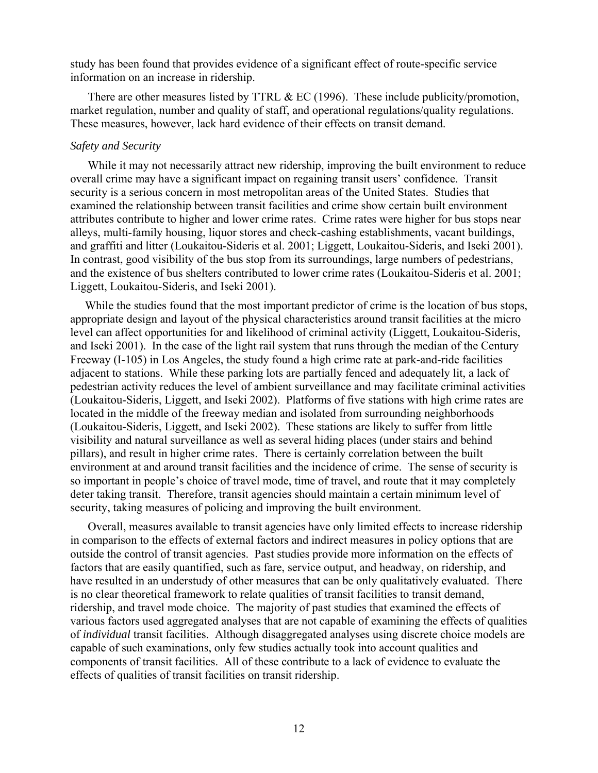study has been found that provides evidence of a significant effect of route-specific service information on an increase in ridership.

There are other measures listed by TTRL  $& EC(1996)$ . These include publicity/promotion, market regulation, number and quality of staff, and operational regulations/quality regulations. These measures, however, lack hard evidence of their effects on transit demand.

#### *Safety and Security*

 While it may not necessarily attract new ridership, improving the built environment to reduce overall crime may have a significant impact on regaining transit users' confidence. Transit security is a serious concern in most metropolitan areas of the United States. Studies that examined the relationship between transit facilities and crime show certain built environment attributes contribute to higher and lower crime rates. Crime rates were higher for bus stops near alleys, multi-family housing, liquor stores and check-cashing establishments, vacant buildings, and graffiti and litter (Loukaitou-Sideris et al. 2001; Liggett, Loukaitou-Sideris, and Iseki 2001). In contrast, good visibility of the bus stop from its surroundings, large numbers of pedestrians, and the existence of bus shelters contributed to lower crime rates (Loukaitou-Sideris et al. 2001; Liggett, Loukaitou-Sideris, and Iseki 2001).

 While the studies found that the most important predictor of crime is the location of bus stops, appropriate design and layout of the physical characteristics around transit facilities at the micro level can affect opportunities for and likelihood of criminal activity (Liggett, Loukaitou-Sideris, and Iseki 2001). In the case of the light rail system that runs through the median of the Century Freeway (I-105) in Los Angeles, the study found a high crime rate at park-and-ride facilities adjacent to stations. While these parking lots are partially fenced and adequately lit, a lack of pedestrian activity reduces the level of ambient surveillance and may facilitate criminal activities (Loukaitou-Sideris, Liggett, and Iseki 2002). Platforms of five stations with high crime rates are located in the middle of the freeway median and isolated from surrounding neighborhoods (Loukaitou-Sideris, Liggett, and Iseki 2002). These stations are likely to suffer from little visibility and natural surveillance as well as several hiding places (under stairs and behind pillars), and result in higher crime rates. There is certainly correlation between the built environment at and around transit facilities and the incidence of crime. The sense of security is so important in people's choice of travel mode, time of travel, and route that it may completely deter taking transit. Therefore, transit agencies should maintain a certain minimum level of security, taking measures of policing and improving the built environment.

 Overall, measures available to transit agencies have only limited effects to increase ridership in comparison to the effects of external factors and indirect measures in policy options that are outside the control of transit agencies. Past studies provide more information on the effects of factors that are easily quantified, such as fare, service output, and headway, on ridership, and have resulted in an understudy of other measures that can be only qualitatively evaluated. There is no clear theoretical framework to relate qualities of transit facilities to transit demand, ridership, and travel mode choice. The majority of past studies that examined the effects of various factors used aggregated analyses that are not capable of examining the effects of qualities of *individual* transit facilities. Although disaggregated analyses using discrete choice models are capable of such examinations, only few studies actually took into account qualities and components of transit facilities. All of these contribute to a lack of evidence to evaluate the effects of qualities of transit facilities on transit ridership.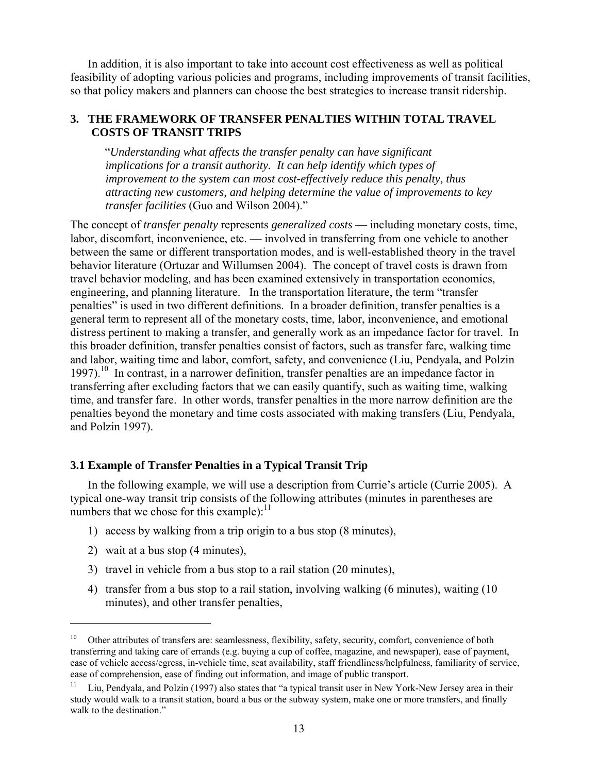In addition, it is also important to take into account cost effectiveness as well as political feasibility of adopting various policies and programs, including improvements of transit facilities, so that policy makers and planners can choose the best strategies to increase transit ridership.

## **3. THE FRAMEWORK OF TRANSFER PENALTIES WITHIN TOTAL TRAVEL COSTS OF TRANSIT TRIPS**

"*Understanding what affects the transfer penalty can have significant implications for a transit authority. It can help identify which types of improvement to the system can most cost-effectively reduce this penalty, thus attracting new customers, and helping determine the value of improvements to key transfer facilities* (Guo and Wilson 2004)."

The concept of *transfer penalty* represents *generalized costs* — including monetary costs, time, labor, discomfort, inconvenience, etc. — involved in transferring from one vehicle to another between the same or different transportation modes, and is well-established theory in the travel behavior literature (Ortuzar and Willumsen 2004). The concept of travel costs is drawn from travel behavior modeling, and has been examined extensively in transportation economics, engineering, and planning literature. In the transportation literature, the term "transfer penalties" is used in two different definitions. In a broader definition, transfer penalties is a general term to represent all of the monetary costs, time, labor, inconvenience, and emotional distress pertinent to making a transfer, and generally work as an impedance factor for travel. In this broader definition, transfer penalties consist of factors, such as transfer fare, walking time and labor, waiting time and labor, comfort, safety, and convenience (Liu, Pendyala, and Polzin 1997).<sup>10</sup> In contrast, in a narrower definition, transfer penalties are an impedance factor in transferring after excluding factors that we can easily quantify, such as waiting time, walking time, and transfer fare. In other words, transfer penalties in the more narrow definition are the penalties beyond the monetary and time costs associated with making transfers (Liu, Pendyala, and Polzin 1997).

## **3.1 Example of Transfer Penalties in a Typical Transit Trip**

 In the following example, we will use a description from Currie's article (Currie 2005). A typical one-way transit trip consists of the following attributes (minutes in parentheses are numbers that we chose for this example): $^{11}$ 

- 1) access by walking from a trip origin to a bus stop (8 minutes),
- 2) wait at a bus stop (4 minutes),

 $\overline{a}$ 

- 3) travel in vehicle from a bus stop to a rail station (20 minutes),
- 4) transfer from a bus stop to a rail station, involving walking (6 minutes), waiting (10 minutes), and other transfer penalties,

<sup>&</sup>lt;sup>10</sup> Other attributes of transfers are: seamlessness, flexibility, safety, security, comfort, convenience of both transferring and taking care of errands (e.g. buying a cup of coffee, magazine, and newspaper), ease of payment, ease of vehicle access/egress, in-vehicle time, seat availability, staff friendliness/helpfulness, familiarity of service, ease of comprehension, ease of finding out information, and image of public transport.

<sup>&</sup>lt;sup>11</sup> Liu, Pendyala, and Polzin (1997) also states that "a typical transit user in New York-New Jersey area in their study would walk to a transit station, board a bus or the subway system, make one or more transfers, and finally walk to the destination."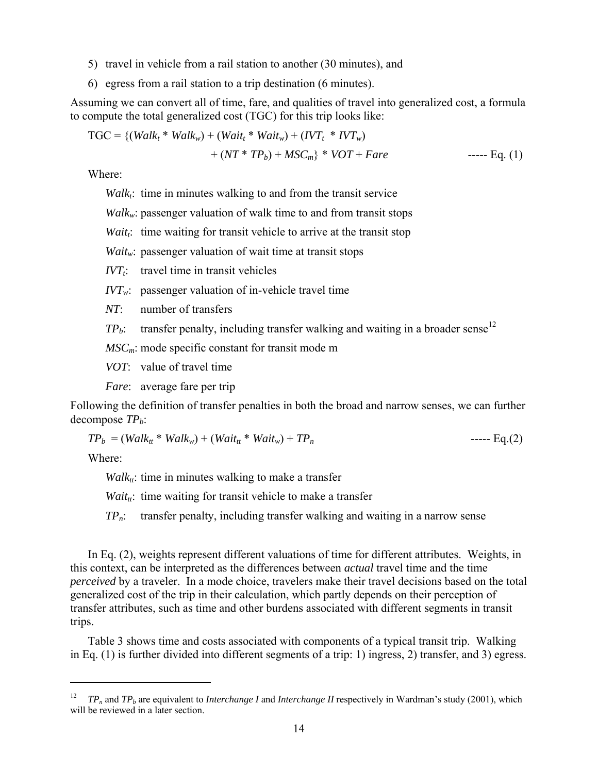- 5) travel in vehicle from a rail station to another (30 minutes), and
- 6) egress from a rail station to a trip destination (6 minutes).

Assuming we can convert all of time, fare, and qualities of travel into generalized cost, a formula to compute the total generalized cost (TGC) for this trip looks like:

 TGC = {(*Walkt* \* *Walkw*) + (*Waitt* \* *Waitw*) + (*IVTt* \* *IVTw*) + (*NT* \* *TPb*) + *MSCm*} \* *VOT* + *Fare* ----- Eq. (1)

Where:

 $Walk<sub>i</sub>$ : time in minutes walking to and from the transit service

*Walk<sub>w</sub>*: passenger valuation of walk time to and from transit stops

*Wait<sub>t</sub>*: time waiting for transit vehicle to arrive at the transit stop

*Waitw*: passenger valuation of wait time at transit stops

 $IVT<sub>i</sub>$  travel time in transit vehicles

 $IVT_w$ : passenger valuation of in-vehicle travel time

*NT*: number of transfers

 $TP_b$ : transfer penalty, including transfer walking and waiting in a broader sense<sup>12</sup>

*MSCm*: mode specific constant for transit mode m

*VOT*: value of travel time

*Fare*: average fare per trip

Following the definition of transfer penalties in both the broad and narrow senses, we can further decompose  $TP<sub>h</sub>$ :

$$
TP_b = (Walktt * Walkw) + (Waittt * Waitw) + TPn
$$
--- Eq.(2)

Where:

 $\overline{a}$ 

 $Walk_{tt}$ : time in minutes walking to make a transfer

*Wait<sub>tt</sub>*: time waiting for transit vehicle to make a transfer

*TPn*: transfer penalty, including transfer walking and waiting in a narrow sense

 In Eq. (2), weights represent different valuations of time for different attributes. Weights, in this context, can be interpreted as the differences between *actual* travel time and the time *perceived* by a traveler. In a mode choice, travelers make their travel decisions based on the total generalized cost of the trip in their calculation, which partly depends on their perception of transfer attributes, such as time and other burdens associated with different segments in transit trips.

 Table 3 shows time and costs associated with components of a typical transit trip. Walking in Eq. (1) is further divided into different segments of a trip: 1) ingress, 2) transfer, and 3) egress.

<sup>12</sup> *TPn* and *TPb* are equivalent to *Interchange I* and *Interchange II* respectively in Wardman's study (2001), which will be reviewed in a later section.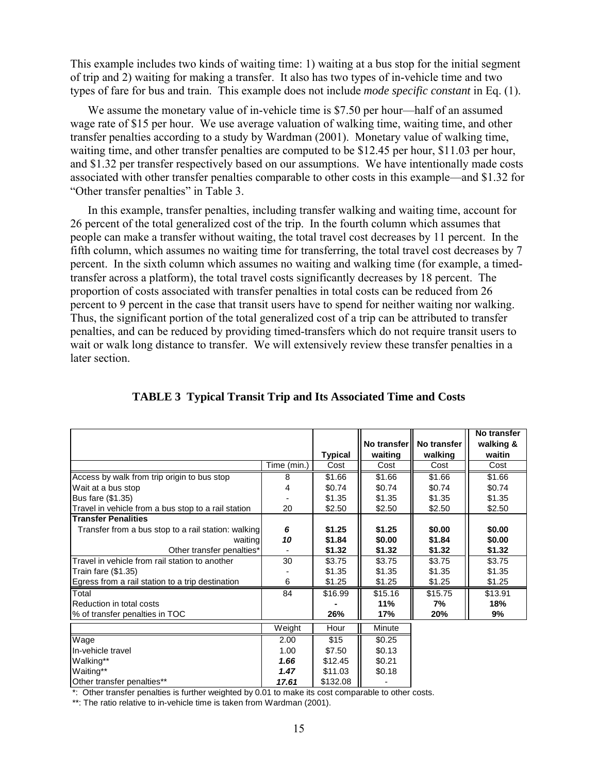This example includes two kinds of waiting time: 1) waiting at a bus stop for the initial segment of trip and 2) waiting for making a transfer. It also has two types of in-vehicle time and two types of fare for bus and train. This example does not include *mode specific constant* in Eq. (1).

 We assume the monetary value of in-vehicle time is \$7.50 per hour—half of an assumed wage rate of \$15 per hour. We use average valuation of walking time, waiting time, and other transfer penalties according to a study by Wardman (2001). Monetary value of walking time, waiting time, and other transfer penalties are computed to be \$12.45 per hour, \$11.03 per hour, and \$1.32 per transfer respectively based on our assumptions. We have intentionally made costs associated with other transfer penalties comparable to other costs in this example—and \$1.32 for "Other transfer penalties" in Table 3.

 In this example, transfer penalties, including transfer walking and waiting time, account for 26 percent of the total generalized cost of the trip. In the fourth column which assumes that people can make a transfer without waiting, the total travel cost decreases by 11 percent. In the fifth column, which assumes no waiting time for transferring, the total travel cost decreases by 7 percent. In the sixth column which assumes no waiting and walking time (for example, a timedtransfer across a platform), the total travel costs significantly decreases by 18 percent. The proportion of costs associated with transfer penalties in total costs can be reduced from 26 percent to 9 percent in the case that transit users have to spend for neither waiting nor walking. Thus, the significant portion of the total generalized cost of a trip can be attributed to transfer penalties, and can be reduced by providing timed-transfers which do not require transit users to wait or walk long distance to transfer. We will extensively review these transfer penalties in a later section.

|                                                     |             | <b>Typical</b> | waiting | No transfer   No transfer<br>walking | No transfer<br>walking &<br>waitin |
|-----------------------------------------------------|-------------|----------------|---------|--------------------------------------|------------------------------------|
|                                                     | Time (min.) | Cost           | Cost    | Cost                                 | Cost                               |
| Access by walk from trip origin to bus stop         | 8           | \$1.66         | \$1.66  | \$1.66                               | \$1.66                             |
| Wait at a bus stop                                  | 4           | \$0.74         | \$0.74  | \$0.74                               | \$0.74                             |
| Bus fare (\$1.35)                                   |             | \$1.35         | \$1.35  | \$1.35                               | \$1.35                             |
| Travel in vehicle from a bus stop to a rail station | 20          | \$2.50         | \$2.50  | \$2.50                               | \$2.50                             |
| <b>Transfer Penalities</b>                          |             |                |         |                                      |                                    |
| Transfer from a bus stop to a rail station: walking | 6           | \$1.25         | \$1.25  | \$0.00                               | \$0.00                             |
| waiting                                             | 10          | \$1.84         | \$0.00  | \$1.84                               | \$0.00                             |
| Other transfer penalties*                           |             | \$1.32         | \$1.32  | \$1.32                               | \$1.32                             |
| Travel in vehicle from rail station to another      | 30          | \$3.75         | \$3.75  | \$3.75                               | \$3.75                             |
| Train fare (\$1.35)                                 |             | \$1.35         | \$1.35  | \$1.35                               | \$1.35                             |
| Egress from a rail station to a trip destination    | 6           | \$1.25         | \$1.25  | \$1.25                               | \$1.25                             |
| Total                                               | 84          | \$16.99        | \$15.16 | $\overline{$}15.75$                  | \$13.91                            |
| Reduction in total costs                            |             |                | 11%     | 7%                                   | 18%                                |
| % of transfer penalties in TOC                      |             | 26%            | 17%     | 20%                                  | 9%                                 |
|                                                     | Weight      | Hour           | Minute  |                                      |                                    |
| Wage                                                | 2.00        | \$15           | \$0.25  |                                      |                                    |
| In-vehicle travel                                   | 1.00        | \$7.50         | \$0.13  |                                      |                                    |
| Walking**                                           | 1.66        | \$12.45        | \$0.21  |                                      |                                    |
| Waiting**                                           | 1.47        | \$11.03        | \$0.18  |                                      |                                    |
| Other transfer penalties**                          | 17.61       | \$132.08       |         |                                      |                                    |

#### **TABLE 3 Typical Transit Trip and Its Associated Time and Costs**

\*: Other transfer penalties is further weighted by 0.01 to make its cost comparable to other costs.

\*\*: The ratio relative to in-vehicle time is taken from Wardman (2001).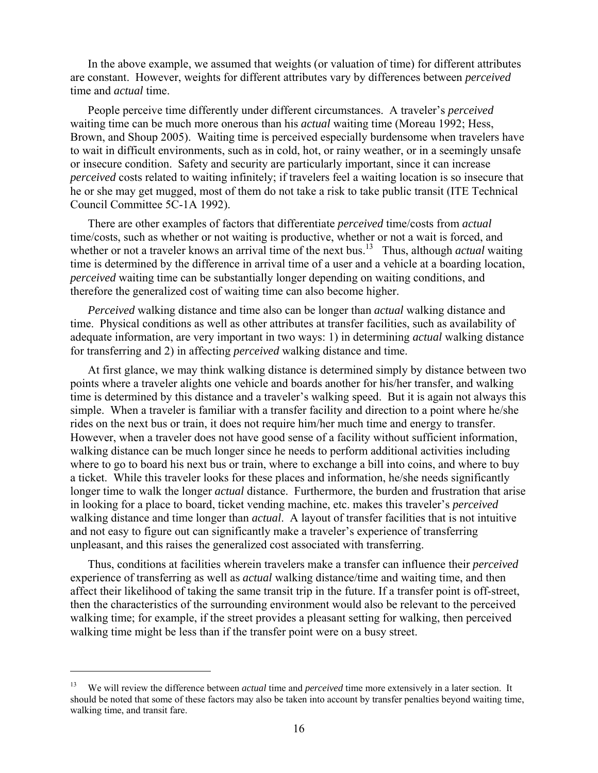In the above example, we assumed that weights (or valuation of time) for different attributes are constant. However, weights for different attributes vary by differences between *perceived* time and *actual* time.

 People perceive time differently under different circumstances. A traveler's *perceived* waiting time can be much more onerous than his *actual* waiting time (Moreau 1992; Hess, Brown, and Shoup 2005). Waiting time is perceived especially burdensome when travelers have to wait in difficult environments, such as in cold, hot, or rainy weather, or in a seemingly unsafe or insecure condition. Safety and security are particularly important, since it can increase *perceived* costs related to waiting infinitely; if travelers feel a waiting location is so insecure that he or she may get mugged, most of them do not take a risk to take public transit (ITE Technical Council Committee 5C-1A 1992).

 There are other examples of factors that differentiate *perceived* time/costs from *actual* time/costs, such as whether or not waiting is productive, whether or not a wait is forced, and whether or not a traveler knows an arrival time of the next bus.<sup>13</sup> Thus, although *actual* waiting time is determined by the difference in arrival time of a user and a vehicle at a boarding location, *perceived* waiting time can be substantially longer depending on waiting conditions, and therefore the generalized cost of waiting time can also become higher.

*Perceived* walking distance and time also can be longer than *actual* walking distance and time. Physical conditions as well as other attributes at transfer facilities, such as availability of adequate information, are very important in two ways: 1) in determining *actual* walking distance for transferring and 2) in affecting *perceived* walking distance and time.

 At first glance, we may think walking distance is determined simply by distance between two points where a traveler alights one vehicle and boards another for his/her transfer, and walking time is determined by this distance and a traveler's walking speed. But it is again not always this simple. When a traveler is familiar with a transfer facility and direction to a point where he/she rides on the next bus or train, it does not require him/her much time and energy to transfer. However, when a traveler does not have good sense of a facility without sufficient information, walking distance can be much longer since he needs to perform additional activities including where to go to board his next bus or train, where to exchange a bill into coins, and where to buy a ticket. While this traveler looks for these places and information, he/she needs significantly longer time to walk the longer *actual* distance. Furthermore, the burden and frustration that arise in looking for a place to board, ticket vending machine, etc. makes this traveler's *perceived* walking distance and time longer than *actual*. A layout of transfer facilities that is not intuitive and not easy to figure out can significantly make a traveler's experience of transferring unpleasant, and this raises the generalized cost associated with transferring.

 Thus, conditions at facilities wherein travelers make a transfer can influence their *perceived* experience of transferring as well as *actual* walking distance/time and waiting time, and then affect their likelihood of taking the same transit trip in the future. If a transfer point is off-street, then the characteristics of the surrounding environment would also be relevant to the perceived walking time; for example, if the street provides a pleasant setting for walking, then perceived walking time might be less than if the transfer point were on a busy street.

 $\overline{a}$ 

<sup>13</sup> We will review the difference between *actual* time and *perceived* time more extensively in a later section. It should be noted that some of these factors may also be taken into account by transfer penalties beyond waiting time, walking time, and transit fare.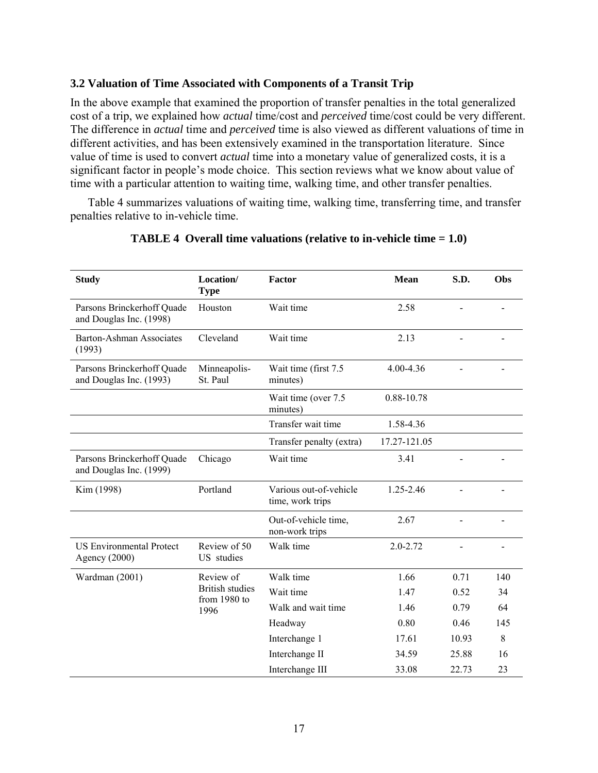## **3.2 Valuation of Time Associated with Components of a Transit Trip**

In the above example that examined the proportion of transfer penalties in the total generalized cost of a trip, we explained how *actual* time/cost and *perceived* time/cost could be very different. The difference in *actual* time and *perceived* time is also viewed as different valuations of time in different activities, and has been extensively examined in the transportation literature. Since value of time is used to convert *actual* time into a monetary value of generalized costs, it is a significant factor in people's mode choice. This section reviews what we know about value of time with a particular attention to waiting time, walking time, and other transfer penalties.

 Table 4 summarizes valuations of waiting time, walking time, transferring time, and transfer penalties relative to in-vehicle time.

| <b>Study</b>                                          | Location/<br><b>Type</b>                       | Factor                                     | <b>Mean</b>  | S.D.  | Obs |
|-------------------------------------------------------|------------------------------------------------|--------------------------------------------|--------------|-------|-----|
| Parsons Brinckerhoff Quade<br>and Douglas Inc. (1998) | Houston                                        | Wait time                                  | 2.58         |       |     |
| Barton-Ashman Associates<br>(1993)                    | Cleveland                                      | Wait time                                  | 2.13         |       |     |
| Parsons Brinckerhoff Quade<br>and Douglas Inc. (1993) | Minneapolis-<br>St. Paul                       | Wait time (first 7.5<br>minutes)           | 4.00-4.36    |       |     |
|                                                       |                                                | Wait time (over 7.5<br>minutes)            | 0.88-10.78   |       |     |
|                                                       |                                                | Transfer wait time                         | 1.58-4.36    |       |     |
|                                                       |                                                | Transfer penalty (extra)                   | 17.27-121.05 |       |     |
| Parsons Brinckerhoff Quade<br>and Douglas Inc. (1999) | Chicago                                        | Wait time                                  | 3.41         |       |     |
| Kim (1998)                                            | Portland                                       | Various out-of-vehicle<br>time, work trips | 1.25-2.46    |       |     |
|                                                       |                                                | Out-of-vehicle time,<br>non-work trips     | 2.67         |       |     |
| <b>US Environmental Protect</b><br>Agency (2000)      | Review of 50<br>US studies                     | Walk time                                  | 2.0-2.72     |       |     |
| Wardman (2001)                                        | Review of                                      | Walk time                                  | 1.66         | 0.71  | 140 |
|                                                       | <b>British studies</b><br>from 1980 to<br>1996 | Wait time                                  | 1.47         | 0.52  | 34  |
|                                                       |                                                | Walk and wait time                         | 1.46         | 0.79  | 64  |
|                                                       |                                                | Headway                                    | 0.80         | 0.46  | 145 |
|                                                       |                                                | Interchange 1                              | 17.61        | 10.93 | 8   |
|                                                       |                                                | Interchange II                             | 34.59        | 25.88 | 16  |
|                                                       |                                                | Interchange III                            | 33.08        | 22.73 | 23  |

#### **TABLE 4 Overall time valuations (relative to in-vehicle time = 1.0)**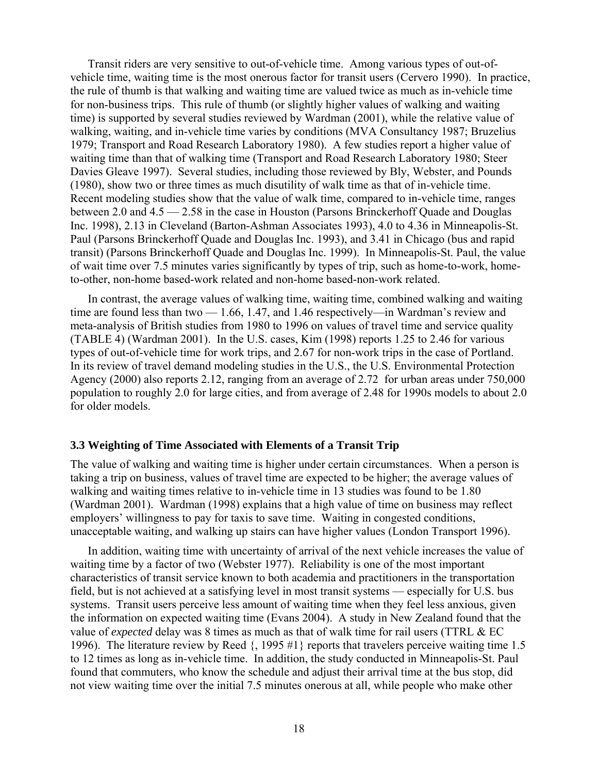Transit riders are very sensitive to out-of-vehicle time. Among various types of out-ofvehicle time, waiting time is the most onerous factor for transit users (Cervero 1990). In practice, the rule of thumb is that walking and waiting time are valued twice as much as in-vehicle time for non-business trips. This rule of thumb (or slightly higher values of walking and waiting time) is supported by several studies reviewed by Wardman (2001), while the relative value of walking, waiting, and in-vehicle time varies by conditions (MVA Consultancy 1987; Bruzelius 1979; Transport and Road Research Laboratory 1980). A few studies report a higher value of waiting time than that of walking time (Transport and Road Research Laboratory 1980; Steer Davies Gleave 1997). Several studies, including those reviewed by Bly, Webster, and Pounds (1980), show two or three times as much disutility of walk time as that of in-vehicle time. Recent modeling studies show that the value of walk time, compared to in-vehicle time, ranges between 2.0 and 4.5 — 2.58 in the case in Houston (Parsons Brinckerhoff Quade and Douglas Inc. 1998), 2.13 in Cleveland (Barton-Ashman Associates 1993), 4.0 to 4.36 in Minneapolis-St. Paul (Parsons Brinckerhoff Quade and Douglas Inc. 1993), and 3.41 in Chicago (bus and rapid transit) (Parsons Brinckerhoff Quade and Douglas Inc. 1999). In Minneapolis-St. Paul, the value of wait time over 7.5 minutes varies significantly by types of trip, such as home-to-work, hometo-other, non-home based-work related and non-home based-non-work related.

 In contrast, the average values of walking time, waiting time, combined walking and waiting time are found less than two — 1.66, 1.47, and 1.46 respectively—in Wardman's review and meta-analysis of British studies from 1980 to 1996 on values of travel time and service quality (TABLE 4) (Wardman 2001). In the U.S. cases, Kim (1998) reports 1.25 to 2.46 for various types of out-of-vehicle time for work trips, and 2.67 for non-work trips in the case of Portland. In its review of travel demand modeling studies in the U.S., the U.S. Environmental Protection Agency (2000) also reports 2.12, ranging from an average of 2.72 for urban areas under 750,000 population to roughly 2.0 for large cities, and from average of 2.48 for 1990s models to about 2.0 for older models.

#### **3.3 Weighting of Time Associated with Elements of a Transit Trip**

The value of walking and waiting time is higher under certain circumstances. When a person is taking a trip on business, values of travel time are expected to be higher; the average values of walking and waiting times relative to in-vehicle time in 13 studies was found to be 1.80 (Wardman 2001). Wardman (1998) explains that a high value of time on business may reflect employers' willingness to pay for taxis to save time. Waiting in congested conditions, unacceptable waiting, and walking up stairs can have higher values (London Transport 1996).

 In addition, waiting time with uncertainty of arrival of the next vehicle increases the value of waiting time by a factor of two (Webster 1977). Reliability is one of the most important characteristics of transit service known to both academia and practitioners in the transportation field, but is not achieved at a satisfying level in most transit systems — especially for U.S. bus systems. Transit users perceive less amount of waiting time when they feel less anxious, given the information on expected waiting time (Evans 2004). A study in New Zealand found that the value of *expected* delay was 8 times as much as that of walk time for rail users (TTRL & EC 1996). The literature review by Reed {, 1995 #1} reports that travelers perceive waiting time 1.5 to 12 times as long as in-vehicle time. In addition, the study conducted in Minneapolis-St. Paul found that commuters, who know the schedule and adjust their arrival time at the bus stop, did not view waiting time over the initial 7.5 minutes onerous at all, while people who make other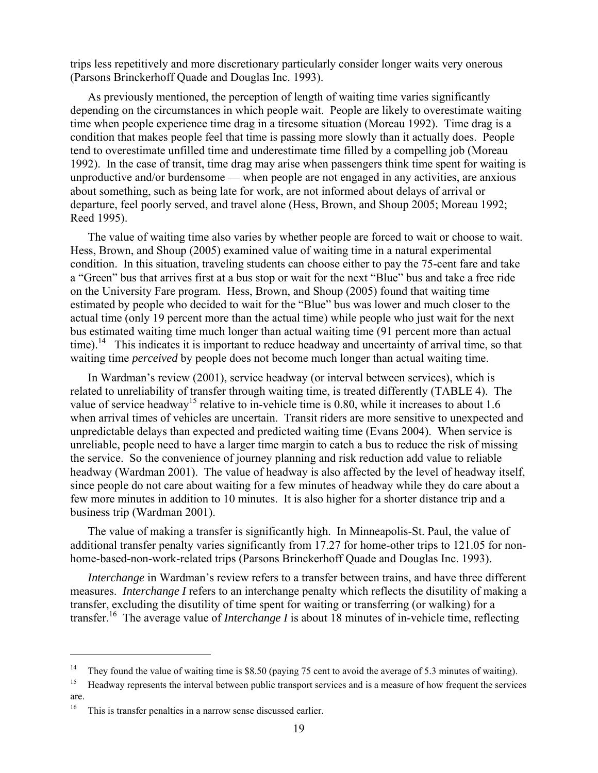trips less repetitively and more discretionary particularly consider longer waits very onerous (Parsons Brinckerhoff Quade and Douglas Inc. 1993).

 As previously mentioned, the perception of length of waiting time varies significantly depending on the circumstances in which people wait. People are likely to overestimate waiting time when people experience time drag in a tiresome situation (Moreau 1992). Time drag is a condition that makes people feel that time is passing more slowly than it actually does. People tend to overestimate unfilled time and underestimate time filled by a compelling job (Moreau 1992). In the case of transit, time drag may arise when passengers think time spent for waiting is unproductive and/or burdensome — when people are not engaged in any activities, are anxious about something, such as being late for work, are not informed about delays of arrival or departure, feel poorly served, and travel alone (Hess, Brown, and Shoup 2005; Moreau 1992; Reed 1995).

 The value of waiting time also varies by whether people are forced to wait or choose to wait. Hess, Brown, and Shoup (2005) examined value of waiting time in a natural experimental condition. In this situation, traveling students can choose either to pay the 75-cent fare and take a "Green" bus that arrives first at a bus stop or wait for the next "Blue" bus and take a free ride on the University Fare program. Hess, Brown, and Shoup (2005) found that waiting time estimated by people who decided to wait for the "Blue" bus was lower and much closer to the actual time (only 19 percent more than the actual time) while people who just wait for the next bus estimated waiting time much longer than actual waiting time (91 percent more than actual time).<sup>14</sup> This indicates it is important to reduce headway and uncertainty of arrival time, so that waiting time *perceived* by people does not become much longer than actual waiting time.

 In Wardman's review (2001), service headway (or interval between services), which is related to unreliability of transfer through waiting time, is treated differently (TABLE 4). The value of service headway<sup>15</sup> relative to in-vehicle time is 0.80, while it increases to about 1.6 when arrival times of vehicles are uncertain. Transit riders are more sensitive to unexpected and unpredictable delays than expected and predicted waiting time (Evans 2004). When service is unreliable, people need to have a larger time margin to catch a bus to reduce the risk of missing the service. So the convenience of journey planning and risk reduction add value to reliable headway (Wardman 2001). The value of headway is also affected by the level of headway itself, since people do not care about waiting for a few minutes of headway while they do care about a few more minutes in addition to 10 minutes. It is also higher for a shorter distance trip and a business trip (Wardman 2001).

 The value of making a transfer is significantly high. In Minneapolis-St. Paul, the value of additional transfer penalty varies significantly from 17.27 for home-other trips to 121.05 for nonhome-based-non-work-related trips (Parsons Brinckerhoff Quade and Douglas Inc. 1993).

*Interchange* in Wardman's review refers to a transfer between trains, and have three different measures. *Interchange I* refers to an interchange penalty which reflects the disutility of making a transfer, excluding the disutility of time spent for waiting or transferring (or walking) for a transfer.16 The average value of *Interchange I* is about 18 minutes of in-vehicle time, reflecting

 $\overline{a}$ 

<sup>&</sup>lt;sup>14</sup> They found the value of waiting time is \$8.50 (paying 75 cent to avoid the average of 5.3 minutes of waiting).<br><sup>15</sup> Headway represents the interval between public transport services and is a measure of how frequent t

are.

<sup>16</sup> This is transfer penalties in a narrow sense discussed earlier.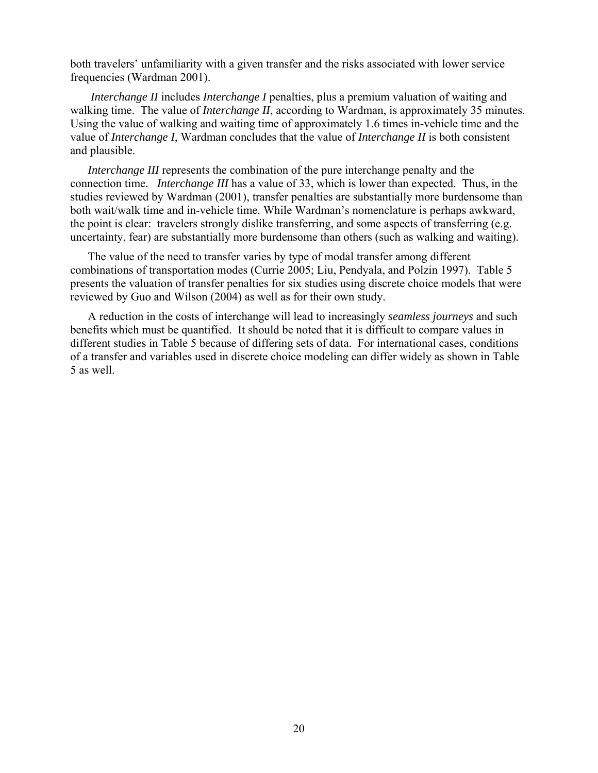both travelers' unfamiliarity with a given transfer and the risks associated with lower service frequencies (Wardman 2001).

*Interchange II* includes *Interchange I* penalties, plus a premium valuation of waiting and walking time. The value of *Interchange II*, according to Wardman, is approximately 35 minutes. Using the value of walking and waiting time of approximately 1.6 times in-vehicle time and the value of *Interchange I*, Wardman concludes that the value of *Interchange II* is both consistent and plausible.

 *Interchange III* represents the combination of the pure interchange penalty and the connection time. *Interchange III* has a value of 33, which is lower than expected. Thus, in the studies reviewed by Wardman (2001), transfer penalties are substantially more burdensome than both wait/walk time and in-vehicle time. While Wardman's nomenclature is perhaps awkward, the point is clear: travelers strongly dislike transferring, and some aspects of transferring (e.g. uncertainty, fear) are substantially more burdensome than others (such as walking and waiting).

 The value of the need to transfer varies by type of modal transfer among different combinations of transportation modes (Currie 2005; Liu, Pendyala, and Polzin 1997). Table 5 presents the valuation of transfer penalties for six studies using discrete choice models that were reviewed by Guo and Wilson (2004) as well as for their own study.

 A reduction in the costs of interchange will lead to increasingly *seamless journeys* and such benefits which must be quantified. It should be noted that it is difficult to compare values in different studies in Table 5 because of differing sets of data. For international cases, conditions of a transfer and variables used in discrete choice modeling can differ widely as shown in Table 5 as well.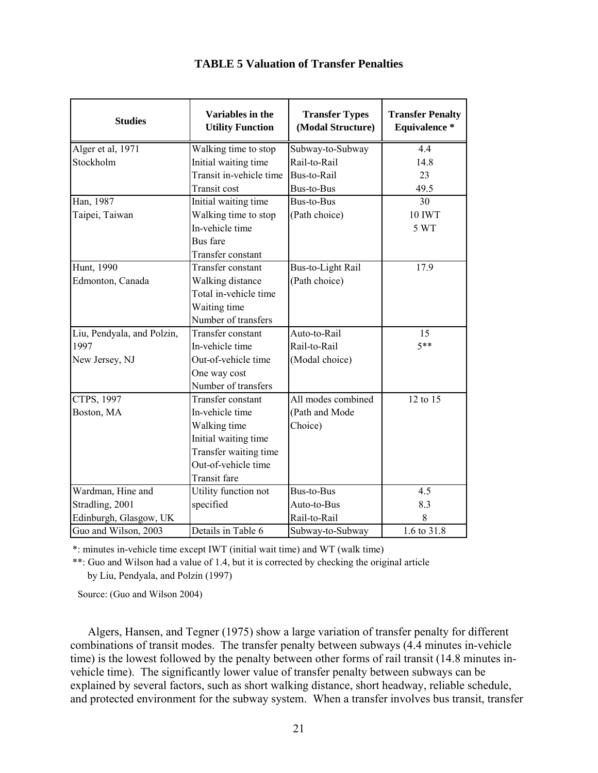| <b>Studies</b>             | Variables in the<br><b>Utility Function</b> | <b>Transfer Types</b><br>(Modal Structure) | <b>Transfer Penalty</b><br>Equivalence * |
|----------------------------|---------------------------------------------|--------------------------------------------|------------------------------------------|
| Alger et al, 1971          | Walking time to stop                        | Subway-to-Subway                           | 4.4                                      |
| Stockholm                  | Initial waiting time                        | Rail-to-Rail                               | 14.8                                     |
|                            | Transit in-vehicle time                     | Bus-to-Rail                                | 23                                       |
|                            | Transit cost                                | <b>Bus-to-Bus</b>                          | 49.5                                     |
| Han, 1987                  | Initial waiting time                        | <b>Bus-to-Bus</b>                          | 30                                       |
| Taipei, Taiwan             | Walking time to stop                        | (Path choice)                              | <b>10 IWT</b>                            |
|                            | In-vehicle time                             |                                            | 5 WT                                     |
|                            | <b>Bus</b> fare                             |                                            |                                          |
|                            | Transfer constant                           |                                            |                                          |
| Hunt, 1990                 | Transfer constant                           | <b>Bus-to-Light Rail</b>                   | 17.9                                     |
| Edmonton, Canada           | Walking distance                            | (Path choice)                              |                                          |
|                            | Total in-vehicle time                       |                                            |                                          |
|                            | Waiting time                                |                                            |                                          |
|                            | Number of transfers                         |                                            |                                          |
| Liu, Pendyala, and Polzin, | Transfer constant                           | Auto-to-Rail                               | 15                                       |
| 1997                       | In-vehicle time                             | Rail-to-Rail                               | $5**$                                    |
| New Jersey, NJ             | Out-of-vehicle time                         | (Modal choice)                             |                                          |
|                            | One way cost                                |                                            |                                          |
|                            | Number of transfers                         |                                            |                                          |
| CTPS, 1997                 | Transfer constant                           | All modes combined                         | 12 to 15                                 |
| Boston, MA                 | In-vehicle time                             | (Path and Mode                             |                                          |
|                            | Walking time                                | Choice)                                    |                                          |
|                            | Initial waiting time                        |                                            |                                          |
|                            | Transfer waiting time                       |                                            |                                          |
|                            | Out-of-vehicle time                         |                                            |                                          |
|                            | <b>Transit</b> fare                         |                                            |                                          |
| Wardman, Hine and          | Utility function not                        | Bus-to-Bus                                 | 4.5                                      |
| Stradling, 2001            | specified                                   | Auto-to-Bus                                | 8.3                                      |
| Edinburgh, Glasgow, UK     |                                             | Rail-to-Rail                               | 8                                        |
| Guo and Wilson, 2003       | Details in Table 6                          | Subway-to-Subway                           | 1.6 to 31.8                              |

# **TABLE 5 Valuation of Transfer Penalties**

\*: minutes in-vehicle time except IWT (initial wait time) and WT (walk time)

\*\*: Guo and Wilson had a value of 1.4, but it is corrected by checking the original article by Liu, Pendyala, and Polzin (1997)

Source: (Guo and Wilson 2004)

 Algers, Hansen, and Tegner (1975) show a large variation of transfer penalty for different combinations of transit modes. The transfer penalty between subways (4.4 minutes in-vehicle time) is the lowest followed by the penalty between other forms of rail transit (14.8 minutes invehicle time). The significantly lower value of transfer penalty between subways can be explained by several factors, such as short walking distance, short headway, reliable schedule, and protected environment for the subway system. When a transfer involves bus transit, transfer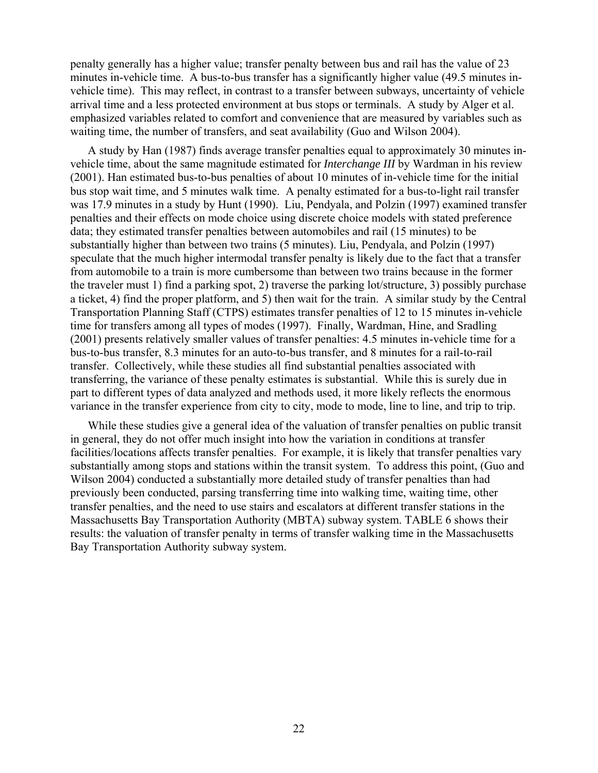penalty generally has a higher value; transfer penalty between bus and rail has the value of 23 minutes in-vehicle time. A bus-to-bus transfer has a significantly higher value (49.5 minutes invehicle time). This may reflect, in contrast to a transfer between subways, uncertainty of vehicle arrival time and a less protected environment at bus stops or terminals. A study by Alger et al. emphasized variables related to comfort and convenience that are measured by variables such as waiting time, the number of transfers, and seat availability (Guo and Wilson 2004).

 A study by Han (1987) finds average transfer penalties equal to approximately 30 minutes invehicle time, about the same magnitude estimated for *Interchange III* by Wardman in his review (2001). Han estimated bus-to-bus penalties of about 10 minutes of in-vehicle time for the initial bus stop wait time, and 5 minutes walk time. A penalty estimated for a bus-to-light rail transfer was 17.9 minutes in a study by Hunt (1990). Liu, Pendyala, and Polzin (1997) examined transfer penalties and their effects on mode choice using discrete choice models with stated preference data; they estimated transfer penalties between automobiles and rail (15 minutes) to be substantially higher than between two trains (5 minutes). Liu, Pendyala, and Polzin (1997) speculate that the much higher intermodal transfer penalty is likely due to the fact that a transfer from automobile to a train is more cumbersome than between two trains because in the former the traveler must 1) find a parking spot, 2) traverse the parking lot/structure, 3) possibly purchase a ticket, 4) find the proper platform, and 5) then wait for the train. A similar study by the Central Transportation Planning Staff (CTPS) estimates transfer penalties of 12 to 15 minutes in-vehicle time for transfers among all types of modes (1997). Finally, Wardman, Hine, and Sradling (2001) presents relatively smaller values of transfer penalties: 4.5 minutes in-vehicle time for a bus-to-bus transfer, 8.3 minutes for an auto-to-bus transfer, and 8 minutes for a rail-to-rail transfer. Collectively, while these studies all find substantial penalties associated with transferring, the variance of these penalty estimates is substantial. While this is surely due in part to different types of data analyzed and methods used, it more likely reflects the enormous variance in the transfer experience from city to city, mode to mode, line to line, and trip to trip.

 While these studies give a general idea of the valuation of transfer penalties on public transit in general, they do not offer much insight into how the variation in conditions at transfer facilities/locations affects transfer penalties. For example, it is likely that transfer penalties vary substantially among stops and stations within the transit system. To address this point, (Guo and Wilson 2004) conducted a substantially more detailed study of transfer penalties than had previously been conducted, parsing transferring time into walking time, waiting time, other transfer penalties, and the need to use stairs and escalators at different transfer stations in the Massachusetts Bay Transportation Authority (MBTA) subway system. TABLE 6 shows their results: the valuation of transfer penalty in terms of transfer walking time in the Massachusetts Bay Transportation Authority subway system.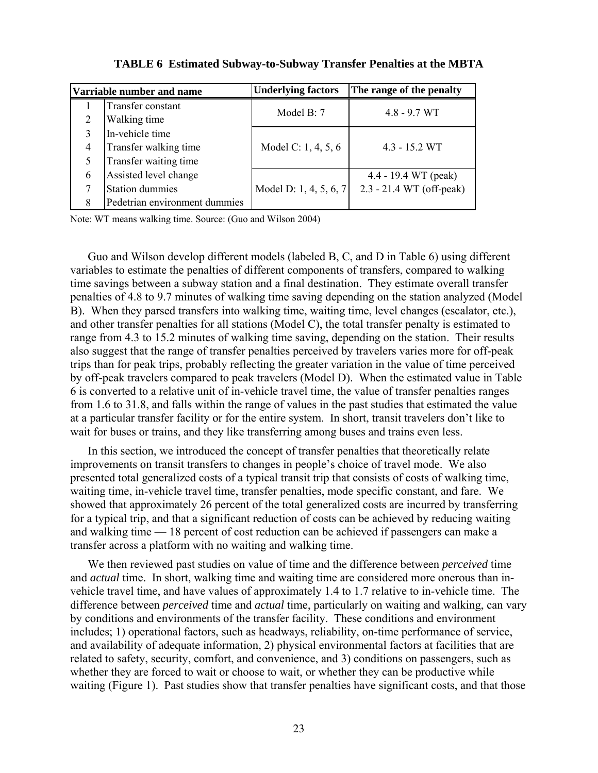| Varriable number and name |                               | <b>Underlying factors</b> | The range of the penalty |  |
|---------------------------|-------------------------------|---------------------------|--------------------------|--|
|                           | Transfer constant             | Model B: 7                | $4.8 - 9.7 \,\text{WT}$  |  |
| $\overline{2}$            | Walking time                  |                           |                          |  |
| $\mathcal{E}$             | In-vehicle time               |                           |                          |  |
| 4                         | Transfer walking time         | Model C: 1, 4, 5, 6       | $4.3 - 15.2$ WT          |  |
|                           | Transfer waiting time         |                           |                          |  |
| 6                         | Assisted level change         |                           | 4.4 - 19.4 WT (peak)     |  |
| 7                         | <b>Station dummies</b>        | Model D: 1, 4, 5, 6, 7    | 2.3 - 21.4 WT (off-peak) |  |
| 8                         | Pedetrian environment dummies |                           |                          |  |

**TABLE 6 Estimated Subway-to-Subway Transfer Penalties at the MBTA** 

Note: WT means walking time. Source: (Guo and Wilson 2004)

 Guo and Wilson develop different models (labeled B, C, and D in Table 6) using different variables to estimate the penalties of different components of transfers, compared to walking time savings between a subway station and a final destination. They estimate overall transfer penalties of 4.8 to 9.7 minutes of walking time saving depending on the station analyzed (Model B). When they parsed transfers into walking time, waiting time, level changes (escalator, etc.), and other transfer penalties for all stations (Model C), the total transfer penalty is estimated to range from 4.3 to 15.2 minutes of walking time saving, depending on the station. Their results also suggest that the range of transfer penalties perceived by travelers varies more for off-peak trips than for peak trips, probably reflecting the greater variation in the value of time perceived by off-peak travelers compared to peak travelers (Model D). When the estimated value in Table 6 is converted to a relative unit of in-vehicle travel time, the value of transfer penalties ranges from 1.6 to 31.8, and falls within the range of values in the past studies that estimated the value at a particular transfer facility or for the entire system. In short, transit travelers don't like to wait for buses or trains, and they like transferring among buses and trains even less.

 In this section, we introduced the concept of transfer penalties that theoretically relate improvements on transit transfers to changes in people's choice of travel mode. We also presented total generalized costs of a typical transit trip that consists of costs of walking time, waiting time, in-vehicle travel time, transfer penalties, mode specific constant, and fare. We showed that approximately 26 percent of the total generalized costs are incurred by transferring for a typical trip, and that a significant reduction of costs can be achieved by reducing waiting and walking time — 18 percent of cost reduction can be achieved if passengers can make a transfer across a platform with no waiting and walking time.

 We then reviewed past studies on value of time and the difference between *perceived* time and *actual* time. In short, walking time and waiting time are considered more onerous than invehicle travel time, and have values of approximately 1.4 to 1.7 relative to in-vehicle time. The difference between *perceived* time and *actual* time, particularly on waiting and walking, can vary by conditions and environments of the transfer facility. These conditions and environment includes; 1) operational factors, such as headways, reliability, on-time performance of service, and availability of adequate information, 2) physical environmental factors at facilities that are related to safety, security, comfort, and convenience, and 3) conditions on passengers, such as whether they are forced to wait or choose to wait, or whether they can be productive while waiting (Figure 1). Past studies show that transfer penalties have significant costs, and that those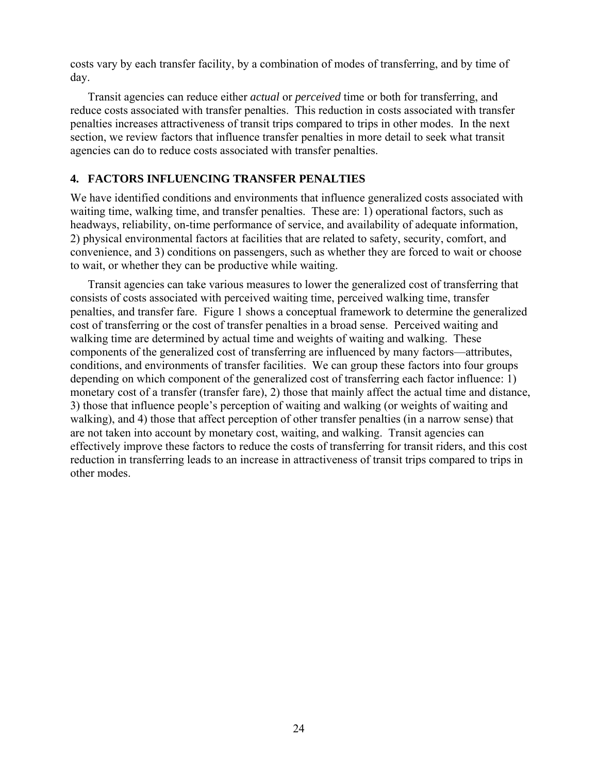costs vary by each transfer facility, by a combination of modes of transferring, and by time of day.

 Transit agencies can reduce either *actual* or *perceived* time or both for transferring, and reduce costs associated with transfer penalties. This reduction in costs associated with transfer penalties increases attractiveness of transit trips compared to trips in other modes. In the next section, we review factors that influence transfer penalties in more detail to seek what transit agencies can do to reduce costs associated with transfer penalties.

# **4. FACTORS INFLUENCING TRANSFER PENALTIES**

We have identified conditions and environments that influence generalized costs associated with waiting time, walking time, and transfer penalties. These are: 1) operational factors, such as headways, reliability, on-time performance of service, and availability of adequate information, 2) physical environmental factors at facilities that are related to safety, security, comfort, and convenience, and 3) conditions on passengers, such as whether they are forced to wait or choose to wait, or whether they can be productive while waiting.

 Transit agencies can take various measures to lower the generalized cost of transferring that consists of costs associated with perceived waiting time, perceived walking time, transfer penalties, and transfer fare. Figure 1 shows a conceptual framework to determine the generalized cost of transferring or the cost of transfer penalties in a broad sense. Perceived waiting and walking time are determined by actual time and weights of waiting and walking. These components of the generalized cost of transferring are influenced by many factors—attributes, conditions, and environments of transfer facilities. We can group these factors into four groups depending on which component of the generalized cost of transferring each factor influence: 1) monetary cost of a transfer (transfer fare), 2) those that mainly affect the actual time and distance, 3) those that influence people's perception of waiting and walking (or weights of waiting and walking), and 4) those that affect perception of other transfer penalties (in a narrow sense) that are not taken into account by monetary cost, waiting, and walking. Transit agencies can effectively improve these factors to reduce the costs of transferring for transit riders, and this cost reduction in transferring leads to an increase in attractiveness of transit trips compared to trips in other modes.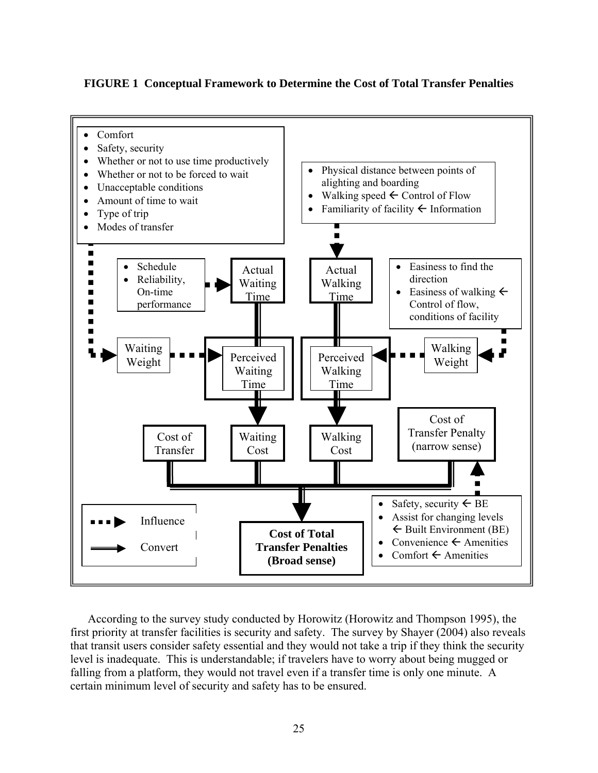**FIGURE 1 Conceptual Framework to Determine the Cost of Total Transfer Penalties** 



 According to the survey study conducted by Horowitz (Horowitz and Thompson 1995), the first priority at transfer facilities is security and safety. The survey by Shayer (2004) also reveals that transit users consider safety essential and they would not take a trip if they think the security level is inadequate. This is understandable; if travelers have to worry about being mugged or falling from a platform, they would not travel even if a transfer time is only one minute. A certain minimum level of security and safety has to be ensured.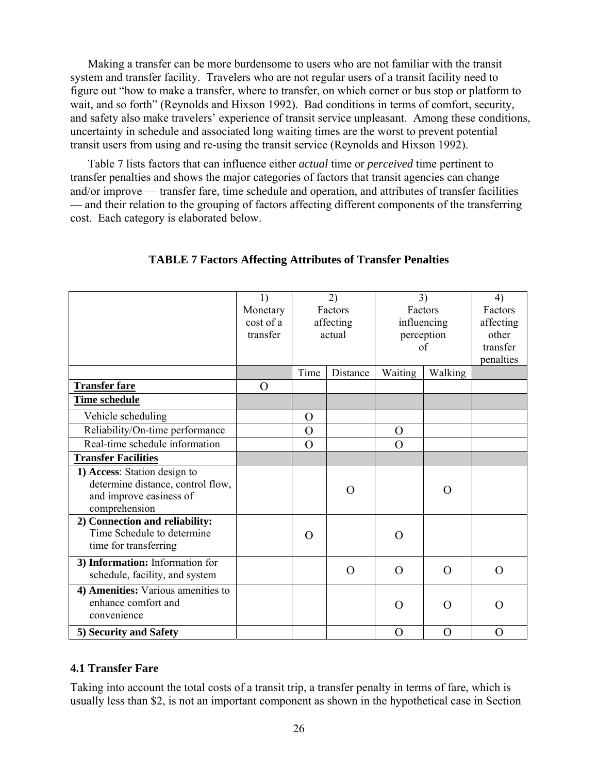Making a transfer can be more burdensome to users who are not familiar with the transit system and transfer facility. Travelers who are not regular users of a transit facility need to figure out "how to make a transfer, where to transfer, on which corner or bus stop or platform to wait, and so forth" (Reynolds and Hixson 1992). Bad conditions in terms of comfort, security, and safety also make travelers' experience of transit service unpleasant. Among these conditions, uncertainty in schedule and associated long waiting times are the worst to prevent potential transit users from using and re-using the transit service (Reynolds and Hixson 1992).

 Table 7 lists factors that can influence either *actual* time or *perceived* time pertinent to transfer penalties and shows the major categories of factors that transit agencies can change and/or improve — transfer fare, time schedule and operation, and attributes of transfer facilities — and their relation to the grouping of factors affecting different components of the transferring cost. Each category is elaborated below.

|                                                                                                               | 1)<br>Monetary<br>cost of a<br>transfer |                | 2)<br>Factors<br>affecting<br>actual | 3)<br>Factors<br>influencing<br>perception<br>of |          | 4)<br>Factors<br>affecting<br>other<br>transfer |
|---------------------------------------------------------------------------------------------------------------|-----------------------------------------|----------------|--------------------------------------|--------------------------------------------------|----------|-------------------------------------------------|
|                                                                                                               |                                         |                |                                      |                                                  |          | penalties                                       |
|                                                                                                               |                                         | Time           | Distance                             | Waiting                                          | Walking  |                                                 |
| <b>Transfer fare</b>                                                                                          | O                                       |                |                                      |                                                  |          |                                                 |
| Time schedule                                                                                                 |                                         |                |                                      |                                                  |          |                                                 |
| Vehicle scheduling                                                                                            |                                         | $\overline{O}$ |                                      |                                                  |          |                                                 |
| Reliability/On-time performance                                                                               |                                         | $\overline{O}$ |                                      | $\overline{O}$                                   |          |                                                 |
| Real-time schedule information                                                                                |                                         | $\overline{O}$ |                                      | $\Omega$                                         |          |                                                 |
| <b>Transfer Facilities</b>                                                                                    |                                         |                |                                      |                                                  |          |                                                 |
| 1) Access: Station design to<br>determine distance, control flow,<br>and improve easiness of<br>comprehension |                                         |                | O                                    |                                                  | O        |                                                 |
| 2) Connection and reliability:<br>Time Schedule to determine<br>time for transferring                         |                                         | $\Omega$       |                                      | O                                                |          |                                                 |
| 3) Information: Information for<br>schedule, facility, and system                                             |                                         |                | $\Omega$                             | $\Omega$                                         | $\Omega$ | $\overline{O}$                                  |
| 4) Amenities: Various amenities to<br>enhance comfort and<br>convenience                                      |                                         |                |                                      | O                                                | O        | O                                               |
| 5) Security and Safety                                                                                        |                                         |                |                                      | $\rm{O}$                                         | O        | O                                               |

# **TABLE 7 Factors Affecting Attributes of Transfer Penalties**

# **4.1 Transfer Fare**

Taking into account the total costs of a transit trip, a transfer penalty in terms of fare, which is usually less than \$2, is not an important component as shown in the hypothetical case in Section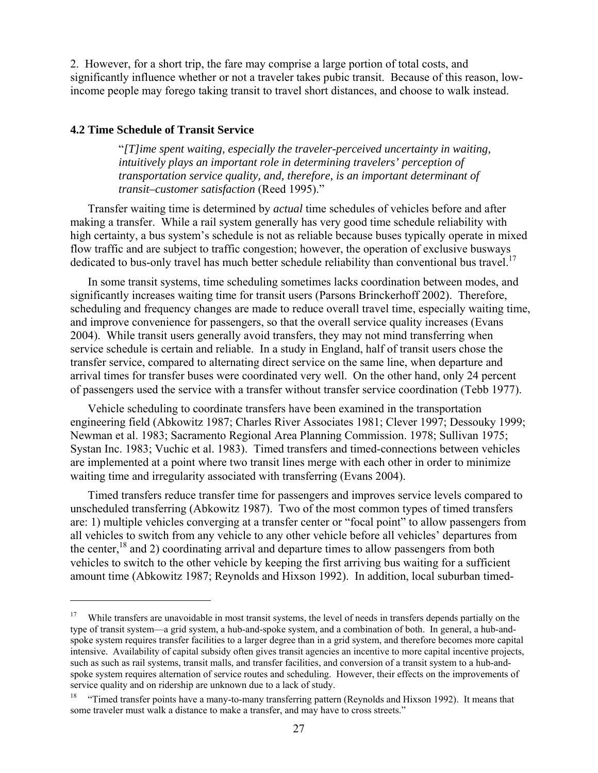2. However, for a short trip, the fare may comprise a large portion of total costs, and significantly influence whether or not a traveler takes pubic transit. Because of this reason, lowincome people may forego taking transit to travel short distances, and choose to walk instead.

#### **4.2 Time Schedule of Transit Service**

 $\overline{a}$ 

"*[T]ime spent waiting, especially the traveler-perceived uncertainty in waiting, intuitively plays an important role in determining travelers' perception of transportation service quality, and, therefore, is an important determinant of transit–customer satisfaction* (Reed 1995)."

 Transfer waiting time is determined by *actual* time schedules of vehicles before and after making a transfer. While a rail system generally has very good time schedule reliability with high certainty, a bus system's schedule is not as reliable because buses typically operate in mixed flow traffic and are subject to traffic congestion; however, the operation of exclusive busways dedicated to bus-only travel has much better schedule reliability than conventional bus travel.<sup>17</sup>

 In some transit systems, time scheduling sometimes lacks coordination between modes, and significantly increases waiting time for transit users (Parsons Brinckerhoff 2002). Therefore, scheduling and frequency changes are made to reduce overall travel time, especially waiting time, and improve convenience for passengers, so that the overall service quality increases (Evans 2004). While transit users generally avoid transfers, they may not mind transferring when service schedule is certain and reliable. In a study in England, half of transit users chose the transfer service, compared to alternating direct service on the same line, when departure and arrival times for transfer buses were coordinated very well. On the other hand, only 24 percent of passengers used the service with a transfer without transfer service coordination (Tebb 1977).

 Vehicle scheduling to coordinate transfers have been examined in the transportation engineering field (Abkowitz 1987; Charles River Associates 1981; Clever 1997; Dessouky 1999; Newman et al. 1983; Sacramento Regional Area Planning Commission. 1978; Sullivan 1975; Systan Inc. 1983; Vuchic et al. 1983). Timed transfers and timed-connections between vehicles are implemented at a point where two transit lines merge with each other in order to minimize waiting time and irregularity associated with transferring (Evans 2004).

 Timed transfers reduce transfer time for passengers and improves service levels compared to unscheduled transferring (Abkowitz 1987). Two of the most common types of timed transfers are: 1) multiple vehicles converging at a transfer center or "focal point" to allow passengers from all vehicles to switch from any vehicle to any other vehicle before all vehicles' departures from the center,  $^{18}$  and 2) coordinating arrival and departure times to allow passengers from both vehicles to switch to the other vehicle by keeping the first arriving bus waiting for a sufficient amount time (Abkowitz 1987; Reynolds and Hixson 1992). In addition, local suburban timed-

<sup>&</sup>lt;sup>17</sup> While transfers are unavoidable in most transit systems, the level of needs in transfers depends partially on the type of transit system—a grid system, a hub-and-spoke system, and a combination of both. In general, a hub-andspoke system requires transfer facilities to a larger degree than in a grid system, and therefore becomes more capital intensive. Availability of capital subsidy often gives transit agencies an incentive to more capital incentive projects, such as such as rail systems, transit malls, and transfer facilities, and conversion of a transit system to a hub-andspoke system requires alternation of service routes and scheduling. However, their effects on the improvements of service quality and on ridership are unknown due to a lack of study.

<sup>18 &</sup>quot;Timed transfer points have a many-to-many transferring pattern (Reynolds and Hixson 1992). It means that some traveler must walk a distance to make a transfer, and may have to cross streets."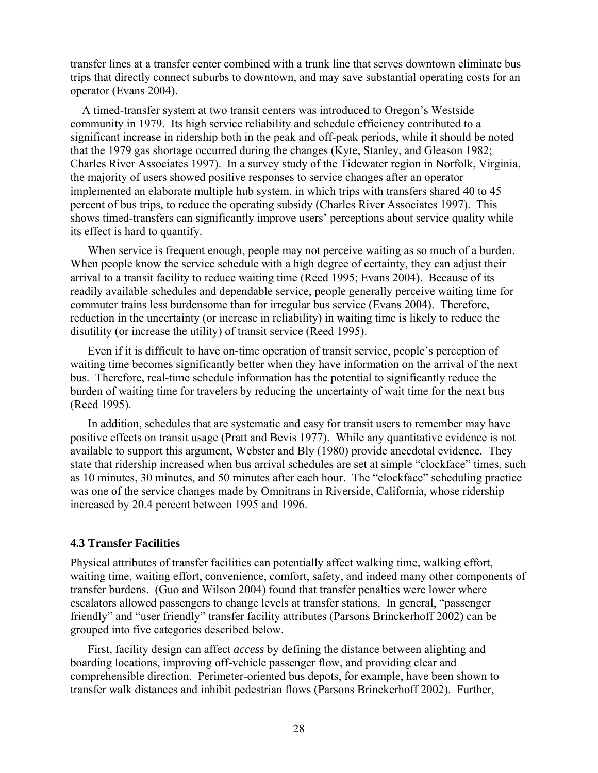transfer lines at a transfer center combined with a trunk line that serves downtown eliminate bus trips that directly connect suburbs to downtown, and may save substantial operating costs for an operator (Evans 2004).

 A timed-transfer system at two transit centers was introduced to Oregon's Westside community in 1979. Its high service reliability and schedule efficiency contributed to a significant increase in ridership both in the peak and off-peak periods, while it should be noted that the 1979 gas shortage occurred during the changes (Kyte, Stanley, and Gleason 1982; Charles River Associates 1997). In a survey study of the Tidewater region in Norfolk, Virginia, the majority of users showed positive responses to service changes after an operator implemented an elaborate multiple hub system, in which trips with transfers shared 40 to 45 percent of bus trips, to reduce the operating subsidy (Charles River Associates 1997). This shows timed-transfers can significantly improve users' perceptions about service quality while its effect is hard to quantify.

 When service is frequent enough, people may not perceive waiting as so much of a burden. When people know the service schedule with a high degree of certainty, they can adjust their arrival to a transit facility to reduce waiting time (Reed 1995; Evans 2004). Because of its readily available schedules and dependable service, people generally perceive waiting time for commuter trains less burdensome than for irregular bus service (Evans 2004). Therefore, reduction in the uncertainty (or increase in reliability) in waiting time is likely to reduce the disutility (or increase the utility) of transit service (Reed 1995).

 Even if it is difficult to have on-time operation of transit service, people's perception of waiting time becomes significantly better when they have information on the arrival of the next bus. Therefore, real-time schedule information has the potential to significantly reduce the burden of waiting time for travelers by reducing the uncertainty of wait time for the next bus (Reed 1995).

 In addition, schedules that are systematic and easy for transit users to remember may have positive effects on transit usage (Pratt and Bevis 1977). While any quantitative evidence is not available to support this argument, Webster and Bly (1980) provide anecdotal evidence. They state that ridership increased when bus arrival schedules are set at simple "clockface" times, such as 10 minutes, 30 minutes, and 50 minutes after each hour. The "clockface" scheduling practice was one of the service changes made by Omnitrans in Riverside, California, whose ridership increased by 20.4 percent between 1995 and 1996.

#### **4.3 Transfer Facilities**

Physical attributes of transfer facilities can potentially affect walking time, walking effort, waiting time, waiting effort, convenience, comfort, safety, and indeed many other components of transfer burdens. (Guo and Wilson 2004) found that transfer penalties were lower where escalators allowed passengers to change levels at transfer stations. In general, "passenger friendly" and "user friendly" transfer facility attributes (Parsons Brinckerhoff 2002) can be grouped into five categories described below.

 First, facility design can affect *access* by defining the distance between alighting and boarding locations, improving off-vehicle passenger flow, and providing clear and comprehensible direction. Perimeter-oriented bus depots, for example, have been shown to transfer walk distances and inhibit pedestrian flows (Parsons Brinckerhoff 2002). Further,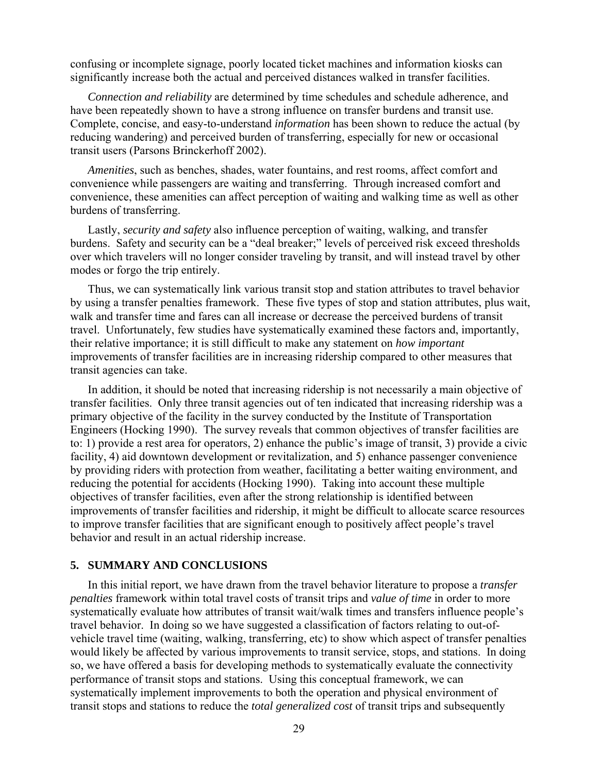confusing or incomplete signage, poorly located ticket machines and information kiosks can significantly increase both the actual and perceived distances walked in transfer facilities.

*Connection and reliability* are determined by time schedules and schedule adherence, and have been repeatedly shown to have a strong influence on transfer burdens and transit use. Complete, concise, and easy-to-understand *information* has been shown to reduce the actual (by reducing wandering) and perceived burden of transferring, especially for new or occasional transit users (Parsons Brinckerhoff 2002).

*Amenities*, such as benches, shades, water fountains, and rest rooms, affect comfort and convenience while passengers are waiting and transferring. Through increased comfort and convenience, these amenities can affect perception of waiting and walking time as well as other burdens of transferring.

 Lastly, *security and safety* also influence perception of waiting, walking, and transfer burdens. Safety and security can be a "deal breaker;" levels of perceived risk exceed thresholds over which travelers will no longer consider traveling by transit, and will instead travel by other modes or forgo the trip entirely.

 Thus, we can systematically link various transit stop and station attributes to travel behavior by using a transfer penalties framework. These five types of stop and station attributes, plus wait, walk and transfer time and fares can all increase or decrease the perceived burdens of transit travel. Unfortunately, few studies have systematically examined these factors and, importantly, their relative importance; it is still difficult to make any statement on *how important* improvements of transfer facilities are in increasing ridership compared to other measures that transit agencies can take.

 In addition, it should be noted that increasing ridership is not necessarily a main objective of transfer facilities. Only three transit agencies out of ten indicated that increasing ridership was a primary objective of the facility in the survey conducted by the Institute of Transportation Engineers (Hocking 1990). The survey reveals that common objectives of transfer facilities are to: 1) provide a rest area for operators, 2) enhance the public's image of transit, 3) provide a civic facility, 4) aid downtown development or revitalization, and 5) enhance passenger convenience by providing riders with protection from weather, facilitating a better waiting environment, and reducing the potential for accidents (Hocking 1990). Taking into account these multiple objectives of transfer facilities, even after the strong relationship is identified between improvements of transfer facilities and ridership, it might be difficult to allocate scarce resources to improve transfer facilities that are significant enough to positively affect people's travel behavior and result in an actual ridership increase.

#### **5. SUMMARY AND CONCLUSIONS**

 In this initial report, we have drawn from the travel behavior literature to propose a *transfer penalties* framework within total travel costs of transit trips and *value of time* in order to more systematically evaluate how attributes of transit wait/walk times and transfers influence people's travel behavior. In doing so we have suggested a classification of factors relating to out-ofvehicle travel time (waiting, walking, transferring, etc) to show which aspect of transfer penalties would likely be affected by various improvements to transit service, stops, and stations. In doing so, we have offered a basis for developing methods to systematically evaluate the connectivity performance of transit stops and stations. Using this conceptual framework, we can systematically implement improvements to both the operation and physical environment of transit stops and stations to reduce the *total generalized cost* of transit trips and subsequently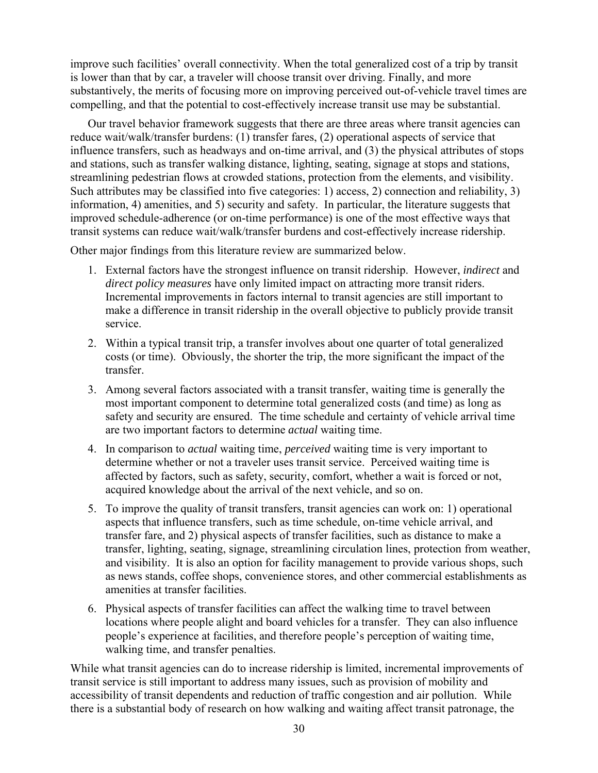improve such facilities' overall connectivity. When the total generalized cost of a trip by transit is lower than that by car, a traveler will choose transit over driving. Finally, and more substantively, the merits of focusing more on improving perceived out-of-vehicle travel times are compelling, and that the potential to cost-effectively increase transit use may be substantial.

 Our travel behavior framework suggests that there are three areas where transit agencies can reduce wait/walk/transfer burdens: (1) transfer fares, (2) operational aspects of service that influence transfers, such as headways and on-time arrival, and (3) the physical attributes of stops and stations, such as transfer walking distance, lighting, seating, signage at stops and stations, streamlining pedestrian flows at crowded stations, protection from the elements, and visibility. Such attributes may be classified into five categories: 1) access, 2) connection and reliability, 3) information, 4) amenities, and 5) security and safety. In particular, the literature suggests that improved schedule-adherence (or on-time performance) is one of the most effective ways that transit systems can reduce wait/walk/transfer burdens and cost-effectively increase ridership.

Other major findings from this literature review are summarized below.

- 1. External factors have the strongest influence on transit ridership. However, *indirect* and *direct policy measures* have only limited impact on attracting more transit riders. Incremental improvements in factors internal to transit agencies are still important to make a difference in transit ridership in the overall objective to publicly provide transit service.
- 2. Within a typical transit trip, a transfer involves about one quarter of total generalized costs (or time). Obviously, the shorter the trip, the more significant the impact of the transfer.
- 3. Among several factors associated with a transit transfer, waiting time is generally the most important component to determine total generalized costs (and time) as long as safety and security are ensured. The time schedule and certainty of vehicle arrival time are two important factors to determine *actual* waiting time.
- 4. In comparison to *actual* waiting time, *perceived* waiting time is very important to determine whether or not a traveler uses transit service. Perceived waiting time is affected by factors, such as safety, security, comfort, whether a wait is forced or not, acquired knowledge about the arrival of the next vehicle, and so on.
- 5. To improve the quality of transit transfers, transit agencies can work on: 1) operational aspects that influence transfers, such as time schedule, on-time vehicle arrival, and transfer fare, and 2) physical aspects of transfer facilities, such as distance to make a transfer, lighting, seating, signage, streamlining circulation lines, protection from weather, and visibility. It is also an option for facility management to provide various shops, such as news stands, coffee shops, convenience stores, and other commercial establishments as amenities at transfer facilities.
- 6. Physical aspects of transfer facilities can affect the walking time to travel between locations where people alight and board vehicles for a transfer. They can also influence people's experience at facilities, and therefore people's perception of waiting time, walking time, and transfer penalties.

While what transit agencies can do to increase ridership is limited, incremental improvements of transit service is still important to address many issues, such as provision of mobility and accessibility of transit dependents and reduction of traffic congestion and air pollution. While there is a substantial body of research on how walking and waiting affect transit patronage, the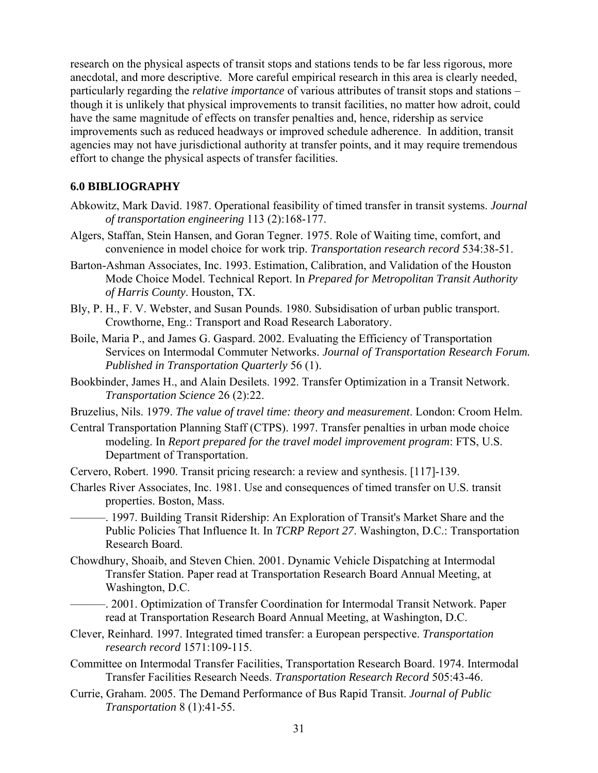research on the physical aspects of transit stops and stations tends to be far less rigorous, more anecdotal, and more descriptive. More careful empirical research in this area is clearly needed, particularly regarding the *relative importance* of various attributes of transit stops and stations – though it is unlikely that physical improvements to transit facilities, no matter how adroit, could have the same magnitude of effects on transfer penalties and, hence, ridership as service improvements such as reduced headways or improved schedule adherence. In addition, transit agencies may not have jurisdictional authority at transfer points, and it may require tremendous effort to change the physical aspects of transfer facilities.

#### **6.0 BIBLIOGRAPHY**

- Abkowitz, Mark David. 1987. Operational feasibility of timed transfer in transit systems. *Journal of transportation engineering* 113 (2):168-177.
- Algers, Staffan, Stein Hansen, and Goran Tegner. 1975. Role of Waiting time, comfort, and convenience in model choice for work trip. *Transportation research record* 534:38-51.
- Barton-Ashman Associates, Inc. 1993. Estimation, Calibration, and Validation of the Houston Mode Choice Model. Technical Report. In *Prepared for Metropolitan Transit Authority of Harris County*. Houston, TX.
- Bly, P. H., F. V. Webster, and Susan Pounds. 1980. Subsidisation of urban public transport. Crowthorne, Eng.: Transport and Road Research Laboratory.
- Boile, Maria P., and James G. Gaspard. 2002. Evaluating the Efficiency of Transportation Services on Intermodal Commuter Networks. *Journal of Transportation Research Forum. Published in Transportation Quarterly* 56 (1).
- Bookbinder, James H., and Alain Desilets. 1992. Transfer Optimization in a Transit Network. *Transportation Science* 26 (2):22.
- Bruzelius, Nils. 1979. *The value of travel time: theory and measurement*. London: Croom Helm.
- Central Transportation Planning Staff (CTPS). 1997. Transfer penalties in urban mode choice modeling. In *Report prepared for the travel model improvement program*: FTS, U.S. Department of Transportation.
- Cervero, Robert. 1990. Transit pricing research: a review and synthesis. [117]-139.
- Charles River Associates, Inc. 1981. Use and consequences of timed transfer on U.S. transit properties. Boston, Mass.

———. 1997. Building Transit Ridership: An Exploration of Transit's Market Share and the Public Policies That Influence It. In *TCRP Report 27*. Washington, D.C.: Transportation Research Board.

- Chowdhury, Shoaib, and Steven Chien. 2001. Dynamic Vehicle Dispatching at Intermodal Transfer Station. Paper read at Transportation Research Board Annual Meeting, at Washington, D.C.
	- ———. 2001. Optimization of Transfer Coordination for Intermodal Transit Network. Paper read at Transportation Research Board Annual Meeting, at Washington, D.C.
- Clever, Reinhard. 1997. Integrated timed transfer: a European perspective. *Transportation research record* 1571:109-115.
- Committee on Intermodal Transfer Facilities, Transportation Research Board. 1974. Intermodal Transfer Facilities Research Needs. *Transportation Research Record* 505:43-46.
- Currie, Graham. 2005. The Demand Performance of Bus Rapid Transit. *Journal of Public Transportation* 8 (1):41-55.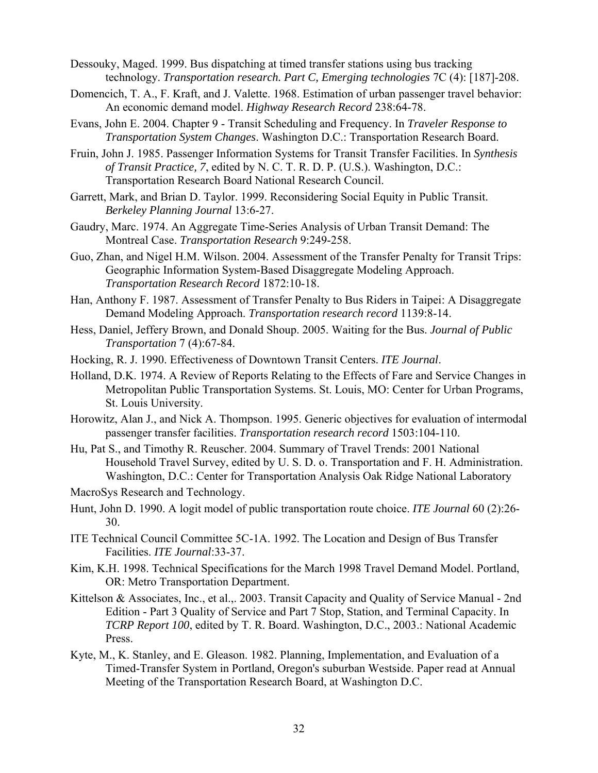- Dessouky, Maged. 1999. Bus dispatching at timed transfer stations using bus tracking technology. *Transportation research. Part C, Emerging technologies* 7C (4): [187]-208.
- Domencich, T. A., F. Kraft, and J. Valette. 1968. Estimation of urban passenger travel behavior: An economic demand model. *Highway Research Record* 238:64-78.
- Evans, John E. 2004. Chapter 9 Transit Scheduling and Frequency. In *Traveler Response to Transportation System Changes*. Washington D.C.: Transportation Research Board.
- Fruin, John J. 1985. Passenger Information Systems for Transit Transfer Facilities. In *Synthesis of Transit Practice, 7*, edited by N. C. T. R. D. P. (U.S.). Washington, D.C.: Transportation Research Board National Research Council.
- Garrett, Mark, and Brian D. Taylor. 1999. Reconsidering Social Equity in Public Transit. *Berkeley Planning Journal* 13:6-27.
- Gaudry, Marc. 1974. An Aggregate Time-Series Analysis of Urban Transit Demand: The Montreal Case. *Transportation Research* 9:249-258.
- Guo, Zhan, and Nigel H.M. Wilson. 2004. Assessment of the Transfer Penalty for Transit Trips: Geographic Information System-Based Disaggregate Modeling Approach. *Transportation Research Record* 1872:10-18.
- Han, Anthony F. 1987. Assessment of Transfer Penalty to Bus Riders in Taipei: A Disaggregate Demand Modeling Approach. *Transportation research record* 1139:8-14.
- Hess, Daniel, Jeffery Brown, and Donald Shoup. 2005. Waiting for the Bus. *Journal of Public Transportation* 7 (4):67-84.
- Hocking, R. J. 1990. Effectiveness of Downtown Transit Centers. *ITE Journal*.
- Holland, D.K. 1974. A Review of Reports Relating to the Effects of Fare and Service Changes in Metropolitan Public Transportation Systems. St. Louis, MO: Center for Urban Programs, St. Louis University.
- Horowitz, Alan J., and Nick A. Thompson. 1995. Generic objectives for evaluation of intermodal passenger transfer facilities. *Transportation research record* 1503:104-110.
- Hu, Pat S., and Timothy R. Reuscher. 2004. Summary of Travel Trends: 2001 National Household Travel Survey, edited by U. S. D. o. Transportation and F. H. Administration. Washington, D.C.: Center for Transportation Analysis Oak Ridge National Laboratory

MacroSys Research and Technology.

- Hunt, John D. 1990. A logit model of public transportation route choice. *ITE Journal* 60 (2):26- 30.
- ITE Technical Council Committee 5C-1A. 1992. The Location and Design of Bus Transfer Facilities. *ITE Journal*:33-37.
- Kim, K.H. 1998. Technical Specifications for the March 1998 Travel Demand Model. Portland, OR: Metro Transportation Department.
- Kittelson & Associates, Inc., et al.,. 2003. Transit Capacity and Quality of Service Manual 2nd Edition - Part 3 Quality of Service and Part 7 Stop, Station, and Terminal Capacity. In *TCRP Report 100*, edited by T. R. Board. Washington, D.C., 2003.: National Academic Press.
- Kyte, M., K. Stanley, and E. Gleason. 1982. Planning, Implementation, and Evaluation of a Timed-Transfer System in Portland, Oregon's suburban Westside. Paper read at Annual Meeting of the Transportation Research Board, at Washington D.C.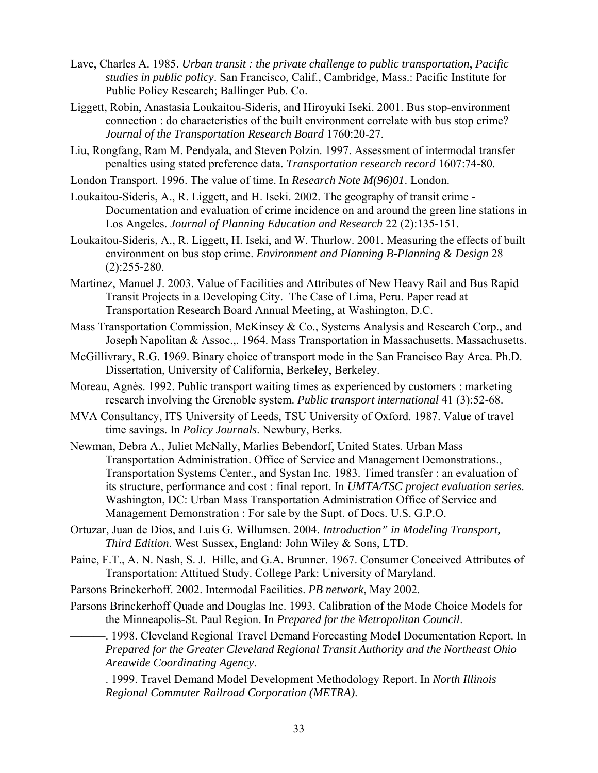- Lave, Charles A. 1985. *Urban transit : the private challenge to public transportation*, *Pacific studies in public policy*. San Francisco, Calif., Cambridge, Mass.: Pacific Institute for Public Policy Research; Ballinger Pub. Co.
- Liggett, Robin, Anastasia Loukaitou-Sideris, and Hiroyuki Iseki. 2001. Bus stop-environment connection : do characteristics of the built environment correlate with bus stop crime? *Journal of the Transportation Research Board* 1760:20-27.
- Liu, Rongfang, Ram M. Pendyala, and Steven Polzin. 1997. Assessment of intermodal transfer penalties using stated preference data. *Transportation research record* 1607:74-80.
- London Transport. 1996. The value of time. In *Research Note M(96)01*. London.
- Loukaitou-Sideris, A., R. Liggett, and H. Iseki. 2002. The geography of transit crime Documentation and evaluation of crime incidence on and around the green line stations in Los Angeles. *Journal of Planning Education and Research* 22 (2):135-151.
- Loukaitou-Sideris, A., R. Liggett, H. Iseki, and W. Thurlow. 2001. Measuring the effects of built environment on bus stop crime. *Environment and Planning B-Planning & Design* 28  $(2):255-280.$
- Martinez, Manuel J. 2003. Value of Facilities and Attributes of New Heavy Rail and Bus Rapid Transit Projects in a Developing City. The Case of Lima, Peru. Paper read at Transportation Research Board Annual Meeting, at Washington, D.C.
- Mass Transportation Commission, McKinsey & Co., Systems Analysis and Research Corp., and Joseph Napolitan & Assoc.,. 1964. Mass Transportation in Massachusetts. Massachusetts.
- McGillivrary, R.G. 1969. Binary choice of transport mode in the San Francisco Bay Area. Ph.D. Dissertation, University of California, Berkeley, Berkeley.
- Moreau, Agnès. 1992. Public transport waiting times as experienced by customers : marketing research involving the Grenoble system. *Public transport international* 41 (3):52-68.
- MVA Consultancy, ITS University of Leeds, TSU University of Oxford. 1987. Value of travel time savings. In *Policy Journals*. Newbury, Berks.
- Newman, Debra A., Juliet McNally, Marlies Bebendorf, United States. Urban Mass Transportation Administration. Office of Service and Management Demonstrations., Transportation Systems Center., and Systan Inc. 1983. Timed transfer : an evaluation of its structure, performance and cost : final report. In *UMTA/TSC project evaluation series*. Washington, DC: Urban Mass Transportation Administration Office of Service and Management Demonstration : For sale by the Supt. of Docs. U.S. G.P.O.
- Ortuzar, Juan de Dios, and Luis G. Willumsen. 2004. *Introduction" in Modeling Transport, Third Edition*. West Sussex, England: John Wiley & Sons, LTD.
- Paine, F.T., A. N. Nash, S. J. Hille, and G.A. Brunner. 1967. Consumer Conceived Attributes of Transportation: Attitued Study. College Park: University of Maryland.
- Parsons Brinckerhoff. 2002. Intermodal Facilities. *PB network*, May 2002.
- Parsons Brinckerhoff Quade and Douglas Inc. 1993. Calibration of the Mode Choice Models for the Minneapolis-St. Paul Region. In *Prepared for the Metropolitan Council*.
	- -. 1998. Cleveland Regional Travel Demand Forecasting Model Documentation Report. In *Prepared for the Greater Cleveland Regional Transit Authority and the Northeast Ohio Areawide Coordinating Agency*.
		- ———. 1999. Travel Demand Model Development Methodology Report. In *North Illinois Regional Commuter Railroad Corporation (METRA)*.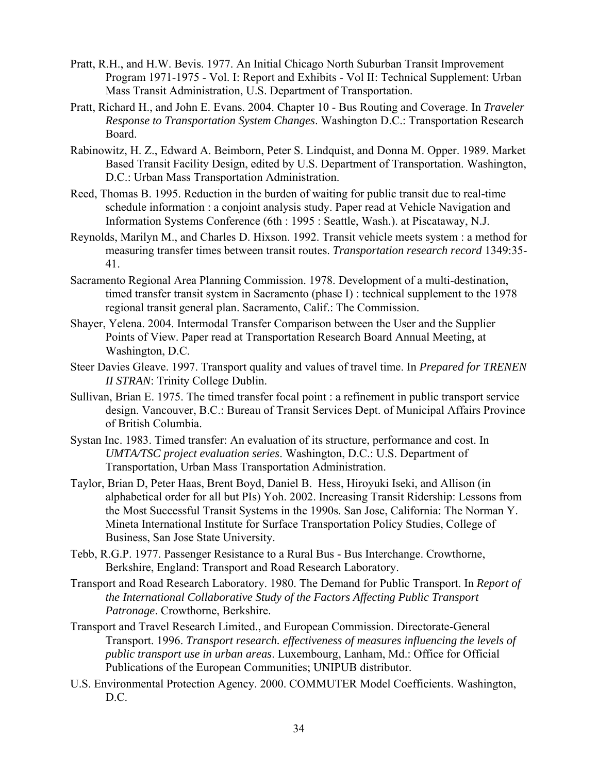- Pratt, R.H., and H.W. Bevis. 1977. An Initial Chicago North Suburban Transit Improvement Program 1971-1975 - Vol. I: Report and Exhibits - Vol II: Technical Supplement: Urban Mass Transit Administration, U.S. Department of Transportation.
- Pratt, Richard H., and John E. Evans. 2004. Chapter 10 Bus Routing and Coverage. In *Traveler Response to Transportation System Changes*. Washington D.C.: Transportation Research Board.
- Rabinowitz, H. Z., Edward A. Beimborn, Peter S. Lindquist, and Donna M. Opper. 1989. Market Based Transit Facility Design, edited by U.S. Department of Transportation. Washington, D.C.: Urban Mass Transportation Administration.
- Reed, Thomas B. 1995. Reduction in the burden of waiting for public transit due to real-time schedule information : a conjoint analysis study. Paper read at Vehicle Navigation and Information Systems Conference (6th : 1995 : Seattle, Wash.). at Piscataway, N.J.
- Reynolds, Marilyn M., and Charles D. Hixson. 1992. Transit vehicle meets system : a method for measuring transfer times between transit routes. *Transportation research record* 1349:35- 41.
- Sacramento Regional Area Planning Commission. 1978. Development of a multi-destination, timed transfer transit system in Sacramento (phase I) : technical supplement to the 1978 regional transit general plan. Sacramento, Calif.: The Commission.
- Shayer, Yelena. 2004. Intermodal Transfer Comparison between the User and the Supplier Points of View. Paper read at Transportation Research Board Annual Meeting, at Washington, D.C.
- Steer Davies Gleave. 1997. Transport quality and values of travel time. In *Prepared for TRENEN II STRAN*: Trinity College Dublin.
- Sullivan, Brian E. 1975. The timed transfer focal point : a refinement in public transport service design. Vancouver, B.C.: Bureau of Transit Services Dept. of Municipal Affairs Province of British Columbia.
- Systan Inc. 1983. Timed transfer: An evaluation of its structure, performance and cost. In *UMTA/TSC project evaluation series*. Washington, D.C.: U.S. Department of Transportation, Urban Mass Transportation Administration.
- Taylor, Brian D, Peter Haas, Brent Boyd, Daniel B. Hess, Hiroyuki Iseki, and Allison (in alphabetical order for all but PIs) Yoh. 2002. Increasing Transit Ridership: Lessons from the Most Successful Transit Systems in the 1990s. San Jose, California: The Norman Y. Mineta International Institute for Surface Transportation Policy Studies, College of Business, San Jose State University.
- Tebb, R.G.P. 1977. Passenger Resistance to a Rural Bus Bus Interchange. Crowthorne, Berkshire, England: Transport and Road Research Laboratory.
- Transport and Road Research Laboratory. 1980. The Demand for Public Transport. In *Report of the International Collaborative Study of the Factors Affecting Public Transport Patronage*. Crowthorne, Berkshire.
- Transport and Travel Research Limited., and European Commission. Directorate-General Transport. 1996. *Transport research. effectiveness of measures influencing the levels of public transport use in urban areas*. Luxembourg, Lanham, Md.: Office for Official Publications of the European Communities; UNIPUB distributor.
- U.S. Environmental Protection Agency. 2000. COMMUTER Model Coefficients. Washington, D.C.